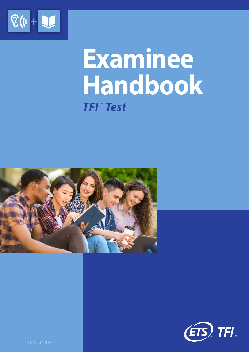

# **Examinee Handbook** *TFI™ Test*





02/09/2021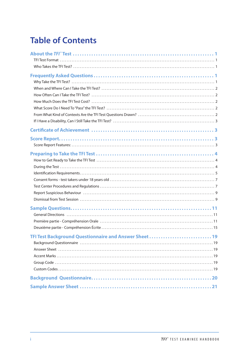# **Table of Contents**

| TFI Test Background Questionnaire and Answer Sheet<br>19 |
|----------------------------------------------------------|
|                                                          |
|                                                          |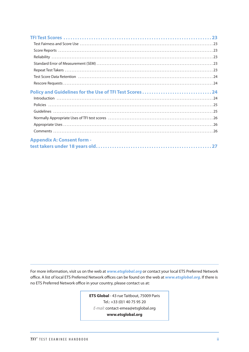| Policy and Guidelines for the Use of TFI Test Scores24 |
|--------------------------------------------------------|
|                                                        |
|                                                        |
|                                                        |
|                                                        |
|                                                        |
|                                                        |
| <b>Appendix A: Consent form -</b>                      |
|                                                        |

For more information, visit us on the web at *www.etsglobal.org* or contact your local ETS Preferred Network office. A list of local ETS Preferred Network offices can be found on the web at *www.etsglobal.org*. If there is no ETS Preferred Network office in your country, please contact us at:

> **ETS Global** - 43 rue Taitbout, 75009 Paris Tel.: +33 (0)1 40 75 95 20 *E-mail:* contact-emea@etsglobal.org **www.etsglobal.org**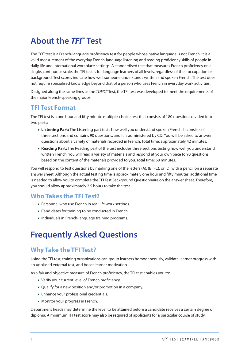# <span id="page-3-0"></span>**About the** *TFI™* **Test**

The *TFI*™ test is a French-language proficiency test for people whose native language is not French. It is a valid measurement of the everyday French-language listening and reading proficiency skills of people in daily life and international workplace settings. A standardised test that measures French proficiency on a single, continuous scale, the TFI test is for language learners of all levels, regardless of their occupation or background. Test scores indicate how well someone understands written and spoken French. The test does not require specialised knowledge beyond that of a person who uses French in everyday work activities.

Designed along the same lines as the *TOEIC®* Test, the TFI test was developed to meet the requirements of the major French-speaking groups.

### **TFI Test Format**

The TFI test is a one hour and fifty minute multiple-choice test that consists of 180 questions divided into two parts:

- **• Listening Part:** The Listening part tests how well you understand spoken French. It consists of three sections and contains 90 questions, and it is administered by CD. You will be asked to answer questions about a variety of materials recorded in French. Total time: approximately 42 minutes.
- **• Reading Part:** The Reading part of the test includes three sections testing how well you understand written French. You will read a variety of materials and respond at your own pace to 90 questions based on the content of the materials provided to you. Total time: 68 minutes.

You will respond to test questions by marking one of the letters (A), (B), (C), or (D) with a pencil on a separate answer sheet. Although the actual testing time is approximately one hour and fifty minutes, additional time is needed to allow you to complete the TFI Test Background Questionnaire on the answer sheet. Therefore, you should allow approximately 2.5 hours to take the test.

### **Who Takes the TFI Test?**

- Personnel who use French in real-life work settings.
- Candidates for training to be conducted in French.
- Individuals in French-language training programs.

# **Frequently Asked Questions**

### **Why Take the TFI Test?**

Using the TFI test, training organizations can group learners homogeneously, validate learner progress with an unbiased external test, and boost learner motivation.

As a fair and objective measure of French proficiency, the TFI test enables you to:

- Verify your current level of French proficiency.
- Qualify for a new position and/or promotion in a company.
- Enhance your professional credentials.
- Monitor your progress in French.

Department heads may determine the level to be attained before a candidate receives a certain degree or diploma. A minimum TFI test score may also be required of applicants for a particular course of study.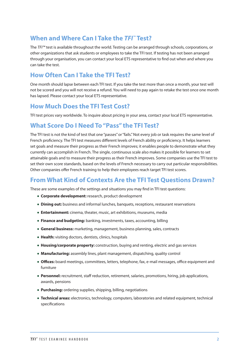### <span id="page-4-0"></span>**When and Where Can I Take the** *TFI™* **Test?**

The *TFI™* test is available throughout the world. Testing can be arranged through schools, corporations, or other organizations that ask students or employees to take the TFI test. If testing has not been arranged through your organisation, you can contact your local ETS representative to find out when and where you can take the test.

### **How Often Can I Take the TFI Test?**

One month should lapse between each TFI test. If you take the test more than once a month, your test will not be scored and you will not receive a refund. You will need to pay again to retake the test once one month has lapsed. Please contact your local ETS representative.

### **How Much Does the TFI Test Cost?**

TFI test prices vary worldwide. To inquire about pricing in your area, contact your local ETS representative.

### **What Score Do I Need To "Pass" the TFI Test?**

The TFI test is not the kind of test that one "passes" or "fails." Not every job or task requires the same level of French proficiency. The TFI test measures different levels of French ability or proficiency. It helps learners set goals and measure their progress as their French improves; it enables people to demonstrate what they currently can accomplish in French. The single, continuous scale also makes it possible for learners to set attainable goals and to measure their progress as their French improves. Some companies use the TFI test to set their own score standards, based on the levels of French necessary to carry out particular responsibilities. Other companies offer French training to help their employees reach target TFI test scores.

### **From What Kind of Contexts Are the TFI Test Questions Drawn?**

These are some examples of the settings and situations you may find in TFI test questions:

- **• Corporate development:** research, product development
- **• Dining out:** business and informal lunches, banquets, receptions, restaurant reservations
- **• Entertainment:** cinema, theater, music, art exhibitions, museums, media
- **• Finance and budgeting:** banking, investments, taxes, accounting, billing
- **• General business:** marketing, management, business planning, sales, contracts
- **• Health:** visiting doctors, dentists, clinics, hospitals
- **• Housing/corporate property:** construction, buying and renting, electric and gas services
- **• Manufacturing:** assembly lines, plant management, dispatching, quality control
- **• Offices:** board meetings, committees, letters, telephone, fax, e-mail messages, office equipment and furniture
- **• Personnel:** recruitment, staff reduction, retirement, salaries, promotions, hiring, job applications, awards, pensions
- **• Purchasing:** ordering supplies, shipping, billing, negotiations
- **• Technical areas:** electronics, technology, computers, laboratories and related equipment, technical specifications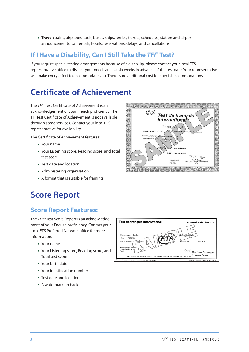<span id="page-5-0"></span>**• Travel:** trains, airplanes, taxis, buses, ships, ferries, tickets, schedules, station and airport announcements, car rentals, hotels, reservations, delays, and cancellations

### **If I Have a Disability, Can I Still Take the** *TFI™* **Test?**

If you require special testing arrangements because of a disability, please contact your local ETS representative office to discuss your needs at least six weeks in advance of the test date. Your representative will make every effort to accommodate you. There is no additional cost for special accommodations.

# **Certificate of Achievement**

The *TFI*™ Test Certificate of Achievement is an acknowledgement of your French proficiency. The TFI Test Certificate of Achievement is not available through some services. Contact your local ETS representative for availability.

The Certificate of Achievement features:

- Your name
- Your Listening score, Reading score, and Total test score
- Test date and location
- Administering organisation
- A format that is suitable for framing

### (ETS) Test de francais *international* Your Name  $\phi$  le TOEIC TEST FRANCAR **TEPNA** Your Test Co  $\overline{DATE}:$  1-novembre-3 ECHELLE 1<br>Ecril : 5-495<br>Oral : 5-495

## **Score Report**

### **Score Report Features:**

The *TFI™* Test Score Report is an acknowledgement of your English proficiency. Contact your local ETS Preferred Network office for more information.

- Your name
- Your Listening score, Reading score, and Total test score
- Your birth date
- Your identification number
- Test date and location
- A watermark on back

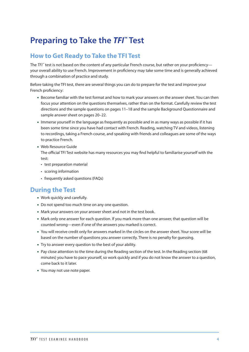# <span id="page-6-0"></span>**Preparing to Take the** *TFI™* **Test**

### **How to Get Ready to Take the TFI Test**

The *TFI*<sup>™</sup> test is not based on the content of any particular French course, but rather on your proficiency your overall ability to use French. Improvement in proficiency may take some time and is generally achieved through a combination of practice and study.

Before taking the TFI test, there are several things you can do to prepare for the test and improve your French proficiency:

- Become familiar with the test format and how to mark your answers on the answer sheet. You can then focus your attention on the questions themselves, rather than on the format. Carefully review the test directions and the sample questions on pages 11–18 and the sample Background Questionnaire and sample answer sheet on pages 20–22.
- Immerse yourself in the language as frequently as possible and in as many ways as possible if it has been some time since you have had contact with French. Reading, watching TV and videos, listening to recordings, taking a French course, and speaking with friends and colleagues are some of the ways to practice French.
- Web Resource Guide

The official TFI Test website has many resources you may find helpful to familiarise yourself with the test:

- test preparation material
- scoring information
- frequently asked questions (FAQs)

### **During the Test**

- Work quickly and carefully.
- Do not spend too much time on any one question.
- Mark your answers on your answer sheet and not in the test book.
- Mark only one answer for each question. If you mark more than one answer, that question will be counted wrong—even if one of the answers you marked is correct.
- You will receive credit only for answers marked in the circles on the answer sheet. Your score will be based on the number of questions you answer correctly. There is no penalty for guessing.
- Try to answer every question to the best of your ability.
- Pay close attention to the time during the Reading section of the test. In the Reading section (68 minutes) you have to pace yourself, so work quickly and if you do not know the answer to a question, come back to it later.
- You may not use note paper.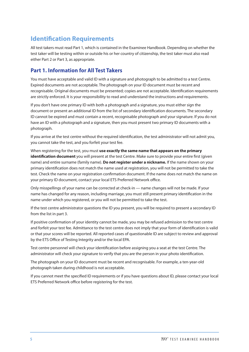### <span id="page-7-0"></span>**Identification Requirements**

All test takers must read Part 1, which is contained in the Examinee Handbook. Depending on whether the test taker will be testing within or outside his or her country of citizenship, the test taker must also read either Part 2 or Part 3, as appropriate.

### **Part 1. Information for All Test Takers**

You must have acceptable and valid ID with a signature and photograph to be admitted to a test Centre. Expired documents are not acceptable. The photograph on your ID document must be recent and recognisable. Original documents must be presented; copies are not acceptable. Identification requirements are strictly enforced. It is your responsibility to read and understand the instructions and requirements.

If you don't have one primary ID with both a photograph and a signature, you must either sign the document or present an additional ID from the list of secondary identification documents. The secondary ID cannot be expired and must contain a recent, recognisable photograph and your signature. If you do not have an ID with a photograph and a signature, then you must present two primary ID documents with a photograph.

If you arrive at the test centre without the required identification, the test administrator will not admit you, you cannot take the test, and you forfeit your test fee.

When registering for the test, you must **use exactly the same name that appears on the primary identification document** you will present at the test Centre. Make sure to provide your entire first (given name) and entire surname (family name). **Do not register under a nickname.** If the name shown on your primary identification does not match the name used at registration, you will not be permitted to take the test. Check the name on your registration confirmation document. If the name does not match the name on your primary ID document, contact your local ETS Preferred Network office.

Only misspellings of your name can be corrected at check-in — name changes will not be made. If your name has changed for any reason, including marriage, you must still present primary identification in the name under which you registered, or you will not be permitted to take the test.

If the test centre administrator questions the ID you present, you will be required to present a secondary ID from the list in part 3.

If positive confirmation of your identity cannot be made, you may be refused admission to the test centre and forfeit your test fee. Admittance to the test centre does not imply that your form of identification is valid or that your scores will be reported. All reported cases of questionable ID are subject to review and approval by the ETS Office of Testing Integrity and/or the local EPA.

Test centre personnel will check your identification before assigning you a seat at the test Centre. The administrator will check your signature to verify that you are the person in your photo identification.

The photograph on your ID document must be recent and recognisable. For example, a ten-year-old photograph taken during childhood is not acceptable.

If you cannot meet the specified ID requirements or if you have questions about ID, please contact your local ETS Preferred Network office before registering for the test.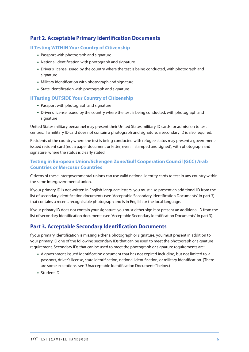### **Part 2. Acceptable Primary Identification Documents**

#### **If Testing WITHIN Your Country of Citizenship**

- Passport with photograph and signature
- National identification with photograph and signature
- Driver's license issued by the country where the test is being conducted, with photograph and signature
- Military identification with photograph and signature
- State identification with photograph and signature

#### **If Testing OUTSIDE Your Country of Citizenship**

- Passport with photograph and signature
- Driver's license issued by the country where the test is being conducted, with photograph and signature

United States military personnel may present their United States military ID cards for admission to test centres. If a military ID card does not contain a photograph and signature, a secondary ID is also required.

Residents of the country where the test is being conducted with refugee status may present a governmentissued resident card (not a paper document or letter, even if stamped and signed), with photograph and signature, where the status is clearly stated.

#### **Testing in European Union/Schengen Zone/Gulf Cooperation Council (GCC) Arab Countries or Mercosur Countries**

Citizens of these intergovernmental unions can use valid national identity cards to test in any country within the same intergovernmental union.

If your primary ID is not written in English-language letters, you must also present an additional ID from the list of secondary identification documents (see "Acceptable Secondary Identification Documents" in part 3) that contains a recent, recognisable photograph and is in English or the local language.

If your primary ID does not contain your signature, you must either sign it or present an additional ID from the list of secondary identification documents (see "Acceptable Secondary Identification Documents" in part 3).

### **Part 3. Acceptable Secondary Identification Documents**

f your primary identification is missing either a photograph or signature, you must present in addition to your primary ID one of the following secondary IDs that can be used to meet the photograph or signature requirement. Secondary IDs that can be used to meet the photograph or signature requirements are:

- A government-issued identification document that has not expired including, but not limited to, a passport, driver's license, state identification, national identification, or military identification. (There are some exceptions: see "Unacceptable Identification Documents" below.)
- Student ID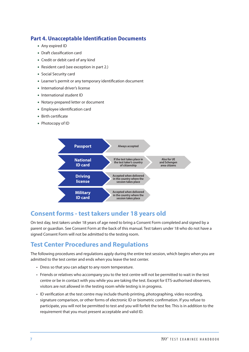### <span id="page-9-0"></span>**Part 4. Unacceptable Identification Documents**

- Any expired ID
- Draft classification card
- Credit or debit card of any kind
- Resident card (see exception in part 2.)
- Social Security card
- Learner's permit or any temporary identification document
- International driver's license
- International student ID
- Notary-prepared letter or document
- Employee identification card
- Birth certificate
- Photocopy of ID



### **Consent forms - test takers under 18 years old**

On test day, test takers under 18 years of age need to bring a Consent Form completed and signed by a parent or guardian. See Consent Form at the back of this manual. Test takers under 18 who do not have a signed Consent Form will not be admitted to the testing room.

### **Test Center Procedures and Regulations**

The following procedures and regulations apply during the entire test session, which begins when you are admitted to the test center and ends when you leave the test center.

- Dress so that you can adapt to any room temperature.
- Friends or relatives who accompany you to the test centre will not be permitted to wait in the test centre or be in contact with you while you are taking the test. Except for ETS-authorised observers, visitors are not allowed in the testing room while testing is in progress.
- ID verification at the test centre may include thumb printing, photographing, video recording, signature comparison, or other forms of electronic ID or biometric confirmation. If you refuse to participate, you will not be permitted to test and you will forfeit the test fee. This is in addition to the requirement that you must present acceptable and valid ID.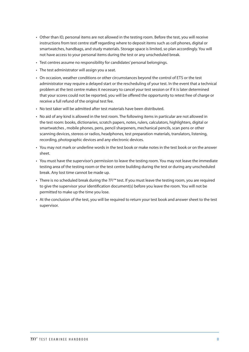- Other than ID, personal items are not allowed in the testing room. Before the test, you will receive instructions from test centre staff regarding where to deposit items such as cell phones, digital or smartwatches, handbags, and study materials. Storage space is limited, so plan accordingly. You will not have access to your personal items during the test or any unscheduled break.
- Test centres assume no responsibility for candidates' personal belongings.
- The test administrator will assign you a seat.
- On occasion, weather conditions or other circumstances beyond the control of ETS or the test administrator may require a delayed start or the rescheduling of your test. In the event that a technical problem at the test centre makes it necessary to cancel your test session or if it is later determined that your scores could not be reported, you will be offered the opportunity to retest free of charge or receive a full refund of the original test fee.
- No test taker will be admitted after test materials have been distributed.
- No aid of any kind is allowed in the test room. The following items in particular are not allowed in the test room: books, dictionaries, scratch papers, notes, rulers, calculators, highlighters, digital or smartwatches , mobile phones, pens, pencil sharpeners, mechanical pencils, scan pens or other scanning devices, stereos or radios, headphones, test preparation materials, translators, listening, recording, photographic devices and any electronic devices.
- You may not mark or underline words in the test book or make notes in the test book or on the answer sheet.
- You must have the supervisor's permission to leave the testing room. You may not leave the immediate testing area of the testing room or the test centre building during the test or during any unscheduled break. Any lost time cannot be made up.
- There is no scheduled break during the *TFI™* test. If you must leave the testing room, you are required to give the supervisor your identification document(s) before you leave the room. You will not be permitted to make up the time you lose.
- At the conclusion of the test, you will be required to return your test book and answer sheet to the test supervisor.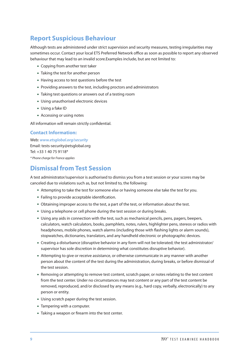### <span id="page-11-0"></span>**Report Suspicious Behaviour**

Although tests are administered under strict supervision and security measures, testing irregularities may sometimes occur. Contact your local ETS Preferred Network office as soon as possible to report any observed behaviour that may lead to an invalid score.Examples include, but are not limited to:

- Copying from another test taker
- Taking the test for another person
- Having access to test questions before the test
- Providing answers to the test, including proctors and administrators
- Taking test questions or answers out of a testing room
- Using unauthorised electronic devices
- Using a fake ID
- Accessing or using notes

All information will remain strictly confidential.

#### **Contact Information:**

Web: *www.etsglobal.org/security*  Email: tests-security@etsglobal.org Tel: +33 1 40 75 9118\* *\* Phone charge for France applies* 

### **Dismissal from Test Session**

A test administrator/supervisor is authorised to dismiss you from a test session or your scores may be canceled due to violations such as, but not limited to, the following:

- Attempting to take the test for someone else or having someone else take the test for you.
- Failing to provide acceptable identification.
- Obtaining improper access to the test, a part of the test, or information about the test.
- Using a telephone or cell phone during the test session or during breaks.
- Using any aids in connection with the test, such as mechanical pencils, pens, pagers, beepers, calculators, watch calculators, books, pamphlets, notes, rulers, highlighter pens, stereos or radios with headphones, mobile phones, watch alarms (including those with flashing lights or alarm sounds), stopwatches, dictionaries, translators, and any handheld electronic or photographic devices.
- Creating a disturbance (disruptive behavior in any form will not be tolerated; the test administrator/ supervisor has sole discretion in determining what constitutes disruptive behavior).
- Attempting to give or receive assistance, or otherwise communicate in any manner with another person about the content of the test during the administration, during breaks, or before dismissal of the test session.
- Removing or attempting to remove test content, scratch paper, or notes relating to the test content from the test center. Under no circumstances may test content or any part of the test content be removed, reproduced, and/or disclosed by any means (e.g., hard copy, verbally, electronically) to any person or entity.
- Using scratch paper during the test session.
- Tampering with a computer.
- Taking a weapon or firearm into the test center.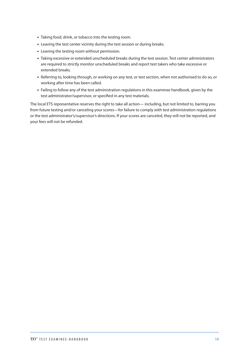- Taking food, drink, or tobacco into the testing room.
- Leaving the test center vicinity during the test session or during breaks.
- Leaving the testing room without permission.
- Taking excessive or extended unscheduled breaks during the test session. Test center administrators are required to strictly monitor unscheduled breaks and report test takers who take excessive or extended breaks.
- Referring to, looking through, or working on any test, or test section, when not authorised to do so, or working after time has been called.
- Failing to follow any of the test administration regulations in this examinee handbook, given by the test administrator/supervisor, or specified in any test materials.

The local ETS representative reserves the right to take all action— including, but not limited to, barring you from future testing and/or canceling your scores—for failure to comply with test administration regulations or the test administrator's/supervisor's directions. If your scores are canceled, they will not be reported, and your fees will not be refunded.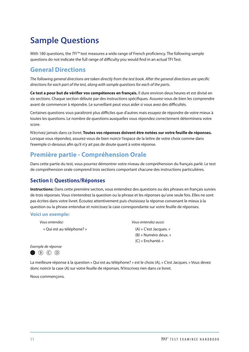# <span id="page-13-0"></span>**Sample Questions**

With 180 questions, the *TFI™* test measures a wide range of French proficiency. The following sample questions do not indicate the full range of difficulty you would find in an actual TFI Test.

### **General Directions**

*The following general directions are taken directly from the test book. After the general directions are specific directions for each part of the test, along with sample questions for each of the parts.* 

**Ce test a pour but de vérifier vos compétences en français.** Il dure environ deux heures et est divisé en six sections. Chaque section débute par des instructions spécifiques. Assurez-vous de bien les comprendre avant de commencer à répondre. Le surveillant peut vous aider si vous avez des difficultés.

Certaines questions vous paraîtront plus difficiles que d'autres mais essayez de répondre de votre mieux à toutes les questions. Le nombre de questions auxquelles vous répondez correctement déterminera votre score.

N'écrivez jamais dans ce livret. **Toutes vos réponses doivent être notées sur votre feuille de réponses.** Lorsque vous répondez, assurez-vous de bien noircir l'espace de la lettre de votre choix comme dans l'exemple ci-dessous afin qu'il n'y ait pas de doute quant à votre réponse.

### **Première partie - Compréhension Orale**

Dans cette partie du test, vous pourrez démontrer votre niveau de compréhension du français parlé. Le test de compréhension orale comprend trois sections comportant chacune des instructions particulières.

### **Section I: Questions/Réponses**

**Instructions:** Dans cette première section, vous entendrez des questions ou des phrases en français suivies de trois réponses. Vous n'entendrez la question ou la phrase et les réponses qu'une seule fois. Elles ne sont pas écrites dans votre livret. Écoutez attentivement puis choisissez la réponse convenant le mieux à la question ou la phrase entendue et noircissez la case correspondante sur votre feuille de réponses.

#### **Voici un exemple:**

*Vous entendez:* « Qui est au téléphone? » *Vous entendez aussi:* 

(A) « C'est Jacques. » (B) « Numéro deux. » (C) « Enchanté. »

*Exemple de réponse*



La meilleure réponse à la question « Qui est au téléphone? » est le choix (A), « C'est Jacques. » Vous devez donc noircir la case (A) sur votre feuille de réponses. N'inscrivez rien dans ce livret.

Nous commençons.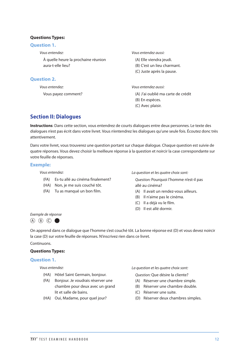#### **Questions Types:**

#### **Question 1.**

*Vous entendez:*

À quelle heure la prochaine réunion aura-t-elle lieu?

#### **Question 2.**

*Vous entendez:*

Vous payez comment?

*Vous entendez aussi:* 

- (A) Elle viendra jeudi.
- (B) C'est un lieu charmant.
- (C) Juste après la pause.

*Vous entendez aussi:* 

- (A) J'ai oublié ma carte de crédit
- (B) En espèces.
- (C) Avec plaisir.

### **Section II: Dialogues**

**Instructions**: Dans cette section, vous entendrez de courts dialogues entre deux personnes. Le texte des dialogues n'est pas écrit dans votre livret. Vous n'entendrez les dialogues qu'une seule fois. Écoutez donc très attentivement.

Dans votre livret, vous trouverez une question portant sur chaque dialogue. Chaque question est suivie de quatre réponses. Vous devez choisir la meilleure réponse à la question et noircir la case correspondante sur votre feuille de réponses.

#### **Exemple:**

*Vous entendez:*

- (FA) Es-tu allé au cinéma finalement?
- (HA) Non, je me suis couché tôt.
- (FA) Tu as manqué un bon film.

*La question et les quatre choix sont:* 

*Question:* Pourquoi l'homme n'est-il pas allé au cinéma?

- (A) Il avait un rendez-vous ailleurs.
- (B) Il n'aime pas le cinéma.
- (C) Il a déjà vu le film.
- (D) Il est allé dormir.

#### *Exemple de réponse*

 $(A)$   $(B)$   $(C)$   $\bullet$ 

On apprend dans ce dialogue que l'homme s'est couché tôt. La bonne réponse est (D) et vous devez noircir la case (D) sur votre feuille de réponses. N'inscrivez rien dans ce livret.

#### Continuons.

#### **Questions Types:**

#### **Question 1.**

*Vous entendez:*

- (HA) Hôtel Saint Germain, bonjour.
- (FA) Bonjour. Je voudrais réserver une chambre pour deux avec un grand lit et salle de bains.
- (HA) Oui, Madame, pour quel jour?

*La question et les quatre choix sont:* 

*Question:* Que désire la cliente?

- (A) Réserver une chambre simple.
- (B) Réserver une chambre double.
- (C) Réserver une suite.
- (D) Réserver deux chambres simples.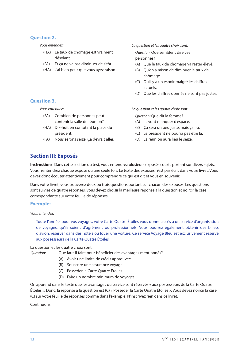#### **Question 2.**

*Vous entendez:*

- (HA) Le taux de chômage est vraiment désolant.
- (FA) Et ça ne va pas diminuer de sitôt.
- (HA) J'ai bien peur que vous ayez raison.

#### *La question et les quatre choix sont:*

*Question:* Que semblent dire ces personnes?

- (A) Oue le taux de chômage va rester élevé.
- (B) Qu'on a raison de diminuer le taux de chômage.
- (C) Qu'il y a un espoir malgré les chiffres actuels.
- (D) Que les chiffres donnés ne sont pas justes.

*Vous entendez:*

**Question 3.**

- (FA) Combien de personnes peut contenir la salle de réunion?
- (HA) Dix-huit en comptant la place du président.
- (FA) Nous serons seize. Ça devrait aller.

*La question et les quatre choix sont:* 

*Question:* Que dit la femme?

- (A) Ils vont manquer d'espace.
- (B) Ça sera un peu juste, mais ça ira.
- (C) Le président ne pourra pas être là.
- (D) La réunion aura lieu le seize.

### **Section III: Exposés**

**Instructions**: Dans cette section du test, vous entendrez plusieurs exposés courts portant sur divers sujets. Vous n'entendrez chaque exposé qu'une seule fois. Le texte des exposés n'est pas écrit dans votre livret. Vous devez donc écouter attentivement pour comprendre ce qui est dit et vous en souvenir.

Dans votre livret, vous trouverez deux ou trois questions portant sur chacun des exposés. Les questions sont suivies de quatre réponses. Vous devez choisir la meilleure réponse à la question et noircir la case correspondante sur votre feuille de réponses.

#### **Exemple:**

*Vous entendez:* 

Toute l'année, pour vos voyages, votre Carte Quatre Étoiles vous donne accès à un service d'organisation de voyages, qu'ils soient d'agrément ou professionnels. Vous pourrez également obtenir des billets d'avion, réserver dans des hôtels ou louer une voiture. Ce service Voyage Bleu est exclusivement réservé aux possesseurs de la Carte Quatre Étoiles.

#### La question et les quatre choix sont:

*Question:* Que faut-il faire pour bénéficier des avantages mentionnés?

- (A) Avoir une limite de crédit approuvée.
- (B) Souscrire une assurance voyage.
- (C) Posséder la Carte Quatre Étoiles.
- (D) Faire un nombre minimum de voyages.

On apprend dans le texte que les avantages du service sont réservés « aux possesseurs de la Carte Quatre Étoiles ». Donc, la réponse à la question est (C) « Posséder la Carte Quatre Étoiles ». Vous devez noircir la case (C) sur votre feuille de réponses comme dans l'exemple. N'inscrivez rien dans ce livret.

#### Continuons.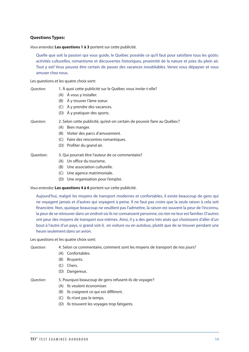#### **Questions Types:**

*Vous entendez:* **Les questions 1 à 3** portent sur cette publicité.

Quelle que soit la passion qui vous guide, le Québec possède ce qu'il faut pour satisfaire tous les goûts: activités culturelles, romantisme et découvertes historiques, proximité de la nature et joies du plein air. Tout y est! Vous pouvez être certain de passer des vacances inoubliables. Venez vous dépayser et vous amuser chez nous.

Les questions et les quatre choix sont:

| Ouestion: | 1. À quoi cette publicité sur le Québec vous invite-t-elle? |
|-----------|-------------------------------------------------------------|
|           | (A) À vous y installer.                                     |

- (B) À y trouver l'âme soeur.
- (C) À y prendre des vacances.
- (D) À y pratiquer des sports.

*Question:* 2. Selon cette publicité, qu'est-on certain de pouvoir faire au Québec?

- (A) Bien manger.
- (B) Visiter des parcs d'amusement.
- (C) Faire des rencontres romantiques.
- (D) Profiter du grand air.
- Question: 3. Qui pourrait être l'auteur de ce commentaire?
	- (A) Un office du tourisme.
	- (B) Une association culturelle.
	- (C) Une agence matrimoniale.
	- (D) Une organisation pour l'emploi.

*Vous entendez:* **Les questions 4 à 6** portent sur cette publicité.

Aujourd'hui, malgré les moyens de transport modernes et confortables, il existe beaucoup de gens qui ne voyagent jamais et d'autres qui voyagent à peine. Il ne faut pas croire que la seule raison à cela soit financière. Non, quoique beaucoup ne veuillent pas l'admettre, la raison est souvent la peur de l'inconnu, la peur de se retrouver dans un endroit où ils ne connaissent personne, où rien ne leur est familier. D'autres ont peur des moyens de transport eux-mêmes. Ainsi, il y a des gens très aisés qui choisissent d'aller d'un bout à l'autre d'un pays, si grand soit-il, en voiture ou en autobus, plutôt que de se trouver pendant une heure seulement dans un avion.

Les questions et les quatre choix sont:

#### *Question:* 4. Selon ce commentaire, comment sont les moyens de transport de nos jours?

- (A) Confortables.
- (B) Bruyants.
- (C) Chers.
- (D) Dangereux.

*Question:* 5. Pourquoi beaucoup de gens refusent-ils de voyager?

- (A) Ils veulent économiser.
- (B) Ils craignent ce qui est différent.
- (C) Ils n'ont pas le temps.
- (D) Ils trouvent les voyages trop fatigants.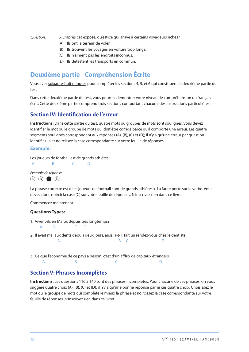<span id="page-17-0"></span>*Question:* 6. D'après cet exposé, qu'est-ce qui arrive à certains voyageurs riches?

- (A) Ils ont la terreur de voler.
- (B) Ils trouvent les voyages en voiture trop longs.
- (C) Ils n'aiment pas les endroits inconnus.
- (D) Ils détestent les transports en commun.

### **Deuxième partie - Compréhension Écrite**

Vous avez soixante-huit minutes pour compléter les sections 4, 5, et 6 qui constituent la deuxième partie du test.

Dans cette deuxième partie du test, vous pourrez démontrer votre niveau de compréhension du français écrit. Cette deuxième partie comprend trois sections comportant chacune des instructions particulières.

### **Section IV: Identification de l'erreur**

**Instructions:** Dans cette partie du test, quatre mots ou groupes de mots sont soulignés. Vous devez identifier le mot ou le groupe de mots qui doit être corrigé parce qu'il comporte une erreur. Les quatre segments soulignés correspondent aux réponses (A), (B), (C) et (D); il n'y a qu'une erreur par question. Identifiez-la et noircissez la case correspondante sur votre feuille de réponses.

#### **Exemple:**

Les joueurs de football est de grands athlètes.

A B C D

*Exemple de réponse*  $(A)$   $(B)$   $(D)$ 

La phrase correcte est « Les joueurs de football sont de grands athlètes ». La faute porte sur le verbe. Vous devez donc noircir la case (C) sur votre feuille de réponses. N'inscrivez rien dans ce livret.

Commencez maintenant.

#### **Questions Types:**

- 1. Vivent-ils en Maroc depuis très longtemps?
	- A B C D
- 2. Il avait mal aux dents depuis deux jours, aussi a-t-il fait un rendez-vous chez le dentiste. A B C D
- 3. Ce que l'économie de ce pays a besoin, c'est d'un afflux de capitaux étrangers. A B C D

#### **Section V: Phrases Incomplètes**

**Instructions:** Les questions 116 à 140 sont des phrases incomplètes. Pour chacune de ces phrases, on vous suggère quatre choix (A), (B), (C) et (D); il n'y a qu'une bonne réponse parmi ces quatre choix. Choisissez le mot ou le groupe de mots qui complète le mieux la phrase et noircissez la case correspondante sur votre feuille de réponses. N'inscrivez rien dans ce livret.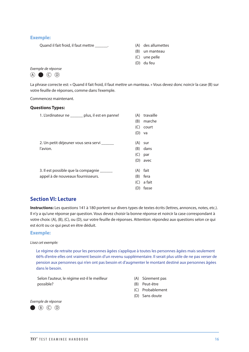#### **Exemple:**

Quand il fait froid, il faut mettre \_\_\_\_\_\_. (A) des allumettes

- 
- (B) un manteau
- (C) une pelle
- (D) du feu

#### *Exemple de réponse*



La phrase correcte est: « Quand il fait froid, il faut mettre un manteau. » Vous devez donc noircir la case (B) sur votre feuille de réponses, comme dans l'exemple.

Commencez maintenant.

#### **Questions Types:**

| 1. L'ordinateur ne ______ plus, il est en panne!                                | (A)<br>(B)<br>(C)        | travaille<br>marche<br>court<br>$(D)$ va |
|---------------------------------------------------------------------------------|--------------------------|------------------------------------------|
| 2. Un petit déjeuner vous sera servi ______<br>l'avion.                         | (A)<br>(B)<br>(C)<br>(D) | sur<br>dans<br>par<br>avec               |
| 3. Il est possible que la compagnie ______<br>appel à de nouveaux fournisseurs. | (A)<br>(B)<br>(C)<br>(D) | fait<br>fera<br>a fait<br>fasse          |

### **Section VI: Lecture**

**Instructions:** Les questions 141 à 180 portent sur divers types de textes écrits (lettres, annonces, notes, etc.). Il n'y a qu'une réponse par question. Vous devez choisir la bonne réponse et noircir la case correspondant à votre choix: (A), (B), (C), ou (D), sur votre feuille de réponses. Attention: répondez aux questions selon ce qui est écrit ou ce qui peut en être déduit.

#### **Exemple:**

*Lisez cet exemple:* 

Le régime de retraite pour les personnes âgées s'applique à toutes les personnes âgées mais seulement 66% d'entre elles ont vraiment besoin d'un revenu supplémentaire. Il serait plus utile de ne pas verser de pension aux personnes qui n'en ont pas besoin et d'augmenter le montant destiné aux personnes âgées dans le besoin.

Selon l'auteur, le régime est-il le meilleur possible?

- (A) Sûrement pas
- (B) Peut-être
- (C) Probablement
- (D) Sans doute

*Exemple de réponse* $\bullet$  (B) (C) (D)

TFI™ TEST EXAMINEE HANDBOOK **<sup>16</sup>**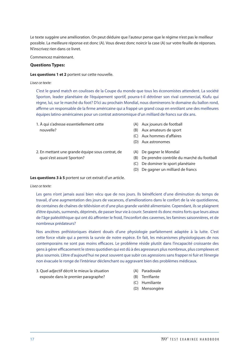Le texte suggère une amélioration. On peut déduire que l'auteur pense que le régime n'est pas le meilleur possible. La meilleure réponse est donc (A). Vous devez donc noircir la case (A) sur votre feuille de réponses. N'inscrivez rien dans ce livret.

Commencez maintenant.

#### **Questions Types:**

**Les questions 1 et 2** portent sur cette nouvelle.

#### *Lisez ce texte:*

C'est le grand match en coulisses de la Coupe du monde que tous les économistes attendent. La société Sporton, leader planétaire de l'équipement sportif, pourra-t-il détrôner son rival commercial, Kiufu qui règne, lui, sur le marché du foot? D'ici au prochain Mondial, nous dominerons le domaine du ballon rond, affirme un responsable de la firme américaine qui a frappé un grand coup en enrôlant une des meilleures équipes latino-américaines pour un contrat astronomique d'un milliard de francs sur dix ans.

- 1. À qui s'adresse essentiellement cette nouvelle?
- (A) Aux joueurs de football
- (B) Aux amateurs de sport
- (C) Aux hommes d'affaires
- (D) Aux astronomes
- 2. En mettant une grande équipe sous contrat, de quoi s'est assuré Sporton?
- (A) De gagner le Mondial
- (B) De prendre contrôle du marché du football
- (C) De dominer le sport planétaire
- (D) De gagner un milliard de francs

#### **Les questions 3 à 5** portent sur cet extrait d'un article.

#### *Lisez ce texte:*

Les gens n'ont jamais aussi bien vécu que de nos jours. Ils bénéficient d'une diminution du temps de travail, d'une augmentation des jours de vacances, d'améliorations dans le confort de la vie quotidienne, de centaines de chaînes de télévision et d'une plus grande variété alimentaire. Cependant, ils se plaignent d'être épuisés, surmenés, déprimés, de passer leur vie à courir. Seraient-ils donc moins forts que leurs aïeux de l'âge paléolithique qui ont dû affronter le froid, l'inconfort des cavernes, les famines saisonnières, et de nombreux prédateurs?

Nos ancêtres préhistoriques étaient doués d'une physiologie parfaitement adaptée à la lutte. C'est cette force vitale qui a permis la survie de notre espèce. En fait, les mécanismes physiologiques de nos contemporains ne sont pas moins efficaces. Le problème réside plutôt dans l'incapacité croissante des gens à gérer efficacement le stress quotidien qui est dû à des agresseurs plus nombreux, plus complexes et plus sournois. L'être d'aujourd'hui ne peut souvent que subir ces agressions sans frapper ni fuir et l'énergie non évacuée le ronge de l'intérieur déclenchant ou aggravant bien des problèmes médicaux.

- 3. Quel adjectif décrit le mieux la situation exposée dans le premier paragraphe?
- (A) Paradoxale
- (B) Terrifiante
- (C) Humiliante
- (D) Mensongère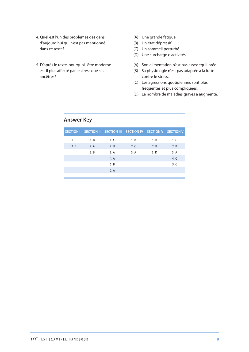- 4. Quel est l'un des problèmes des gens d'aujourd'hui qui n'est pas mentionné dans ce texte?
- 5. D'après le texte, pourquoi l'être moderne est-il plus affecté par le stress que ses ancêtres?
- (A) Une grande fatigue
- (B) Un état dépressif
- (C) Un sommeil perturbé
- (D) Une surcharge d'activités
- (A) Son alimentation n'est pas assez équilibrée.
- (B) Sa physiologie n'est pas adaptée à la lutte contre le stress.
- (C) Les agressions quotidiennes sont plus fréquentes et plus compliquées.
- (D) Le nombre de maladies graves a augmenté.

### **Answer Key**

|      |      |      | SECTION I SECTION II SECTION III SECTION IV SECTION V SECTION VI |      |      |
|------|------|------|------------------------------------------------------------------|------|------|
| 1. C | 1. B | 1. C | 1. B                                                             | 1. B | 1. C |
| 2.B  | 2. A | 2. D | 2. C                                                             | 2.B  | 2. B |
|      | 3. B | 3.A  | 3.A                                                              | 3. D | 3.A  |
|      |      | 4. A |                                                                  |      | 4. C |
|      |      | 5. B |                                                                  |      | 5.C  |
|      |      | 6. A |                                                                  |      |      |
|      |      |      |                                                                  |      |      |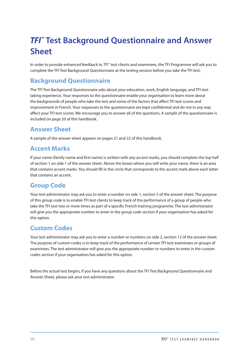# <span id="page-21-0"></span>*TFI™* **Test Background Questionnaire and Answer Sheet**

In order to provide enhanced feedback to *TFI*™ test clients and examinees, the TFI Programme will ask you to complete the TFI Test Background Questionnaire at the testing session before you take the TFI test.

### **Background Questionnaire**

The TFI Test Background Questionnaire asks about your education, work, English language, and TFI testtaking experience. Your responses to the questionnaire enable your organisation to learn more about the backgrounds of people who take the test and some of the factors that affect TFI test scores and improvement in French. Your responses to the questionnaire are kept confidential and do not in any way affect your TFI test scores. We encourage you to answer all of the questions. A sample of the questionnaire is included on page 20 of this handbook.

### **Answer Sheet**

A sample of the answer sheet appears on pages 21 and 22 of this handbook.

### **Accent Marks**

If your name (family name and first name) is written with any accent marks, you should complete the top half of section 1 on side 1 of the answer sheet. Above the boxes where you will write your name, there is an area that contains accent marks. You should fill in the circle that corresponds to the accent mark above each letter that contains an accent.

### **Group Code**

Your test administrator may ask you to enter a number on side 1, section 5 of the answer sheet. The purpose of this group code is to enable TFI test clients to keep track of the performance of a group of people who take the TFI test two or more times as part of a specific French training programme. The test administrator will give you the appropriate number to enter in the group code section if your organisation has asked for this option.

### **Custom Codes**

Your test administrator may ask you to enter a number or numbers on side 2, section 12 of the answer sheet. The purpose of custom codes is to keep track of the performance of certain TFI test examinees or groups of examinees. The test administrator will give you the appropriate number or numbers to enter in the custom codes section if your organisation has asked for this option.

Before the actual test begins, if you have any questions about the TFI Test Background Questionnaire and Answer Sheet, please ask your test administrator.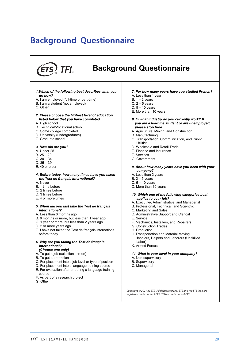# <span id="page-22-0"></span>**Background Questionnaire**

#### TFI<sub>m</sub> **Background Questionnaire** *1.Which of the following best describes what you 7. For how many years have you studied French?* A. Less than 1 year *do now?* A. I am employed (full-time or part-time). B.  $1 - 2$  years C.  $2 - 5$  years B. I am a student (not employed).  $D. 5 - 10$  years C. Other E. More than 10 years *2. Please choose the highest level of education listed below that you have completed. 8. In what industry do you currently work? If* A. High school *you are a full-time student or are unemployed,* B. Technical/Vocational school *please stop here.* C. Some college completed A. Agriculture, Mining, and Construction D. University (undergraduate) B. Manufacturing C. Transportation, Communication, and Public E. Graduate school **Utilities** *3. How old are you?* D. Wholesale and Retail Trade E. Finance and Insurance A. Under 25  $B. 25 - 29$ F. Services  $C. 30 - 34$ G. Government D. 35 – 39 E. 40 or older *9. About how many years have you been with your company? 4. Before today, how many times have you taken* A. Less than 2 years *the Test de français international?* B.  $2 - 5$  years A. Never C.  $5 - 10$  years B. 1 time before D. More than 10 years C. 2 times before D. 3 times before *10. Which one of the following categories best* E. 4 or more times *applies to your job?* A. Executive, Administrative, and Managerial *5. When did you last take the Test de français* B. Professional, Technical, and Scientific *international?* C. Marketing and Sales A. Less than 6 months ago D. Administrative Support and Clerical B. 6 months or more, but less than 1 year ago E. Service F. Mechanics, Installers, and Repairers C. 1 year or more, but less than 2 years ago D. 2 or more years ago G. Construction Trades E. I have not taken the Test de français international H. Production before today. I. Transportation and Material Moving J. Handlers, Helpers and Laborers (Unskilled *6. Why are you taking the Test de français* Labor) K. Armed Forces *international? (Choose one only) 11. What is your level in your company?* A. To get a job (selection screen) B. To get a promotion A. Non-supervisory C. For placement into a job level or type of position B. Supervisory C. Managerial D. For placement into a language training course E. For evaluation after or during a language training course F. As part of a research project G. Other *ETS, ETS logo and TOEIC are registered trademarks of Educational Testing Service. Copyright © 2021 by ETS. All rights reserved. ETS and the ETS logo are registered trademarks of ETS. TFI is a trademark of ETS.*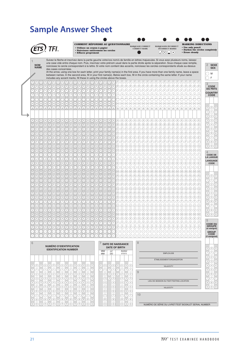# <span id="page-23-0"></span>**Sample Answer Sheet**

|                                                                                                                                                                                                                                                                                                                                                                                                                                                                                                                                                                        |                                                                                                                                                                                                                                                                                              |                        |                                                            |                                                                                                                                                                                                                                                 |                 |                                   |                                                     |                 | <b>COMMENT RÉPONDRE AU QUESTIONNAIRE</b><br>· Utilisez un crayon à papier<br>• Noircissez entièrement les cercles<br><b>• Effacez proprement</b>                                                                                                                                                                                                                                                                        |                                                        |                         |                             |                         |                                         |                                                                                             |                 |                                                   |                      | MARQUAGE CORRECT<br><b>CORRECT MARK</b>        |                                               |                    |                    |                | . $\Lambda$ $(\times)$ | <b>MARQUAGES INCORRECT</b><br><b>INCORRECT MARKS</b>                                                                                                                                                                                                                                                                                                                                                                                                                                                                                  | $(\bullet)$ |                                      |                          | • Use only pencil<br><b>• Erase cleanly</b>                                                                       |         |                 |        | <b>MARKING DIRECTIONS</b><br><b>• Darken the circles completely</b>                                                                                                                                                                                                                                                               |
|------------------------------------------------------------------------------------------------------------------------------------------------------------------------------------------------------------------------------------------------------------------------------------------------------------------------------------------------------------------------------------------------------------------------------------------------------------------------------------------------------------------------------------------------------------------------|----------------------------------------------------------------------------------------------------------------------------------------------------------------------------------------------------------------------------------------------------------------------------------------------|------------------------|------------------------------------------------------------|-------------------------------------------------------------------------------------------------------------------------------------------------------------------------------------------------------------------------------------------------|-----------------|-----------------------------------|-----------------------------------------------------|-----------------|-------------------------------------------------------------------------------------------------------------------------------------------------------------------------------------------------------------------------------------------------------------------------------------------------------------------------------------------------------------------------------------------------------------------------|--------------------------------------------------------|-------------------------|-----------------------------|-------------------------|-----------------------------------------|---------------------------------------------------------------------------------------------|-----------------|---------------------------------------------------|----------------------|------------------------------------------------|-----------------------------------------------|--------------------|--------------------|----------------|------------------------|---------------------------------------------------------------------------------------------------------------------------------------------------------------------------------------------------------------------------------------------------------------------------------------------------------------------------------------------------------------------------------------------------------------------------------------------------------------------------------------------------------------------------------------|-------------|--------------------------------------|--------------------------|-------------------------------------------------------------------------------------------------------------------|---------|-----------------|--------|-----------------------------------------------------------------------------------------------------------------------------------------------------------------------------------------------------------------------------------------------------------------------------------------------------------------------------------|
|                                                                                                                                                                                                                                                                                                                                                                                                                                                                                                                                                                        | Suivez la flèche et inscrivez dans la partie gauche votre/vos nom/s de famille en lettres majuscules. Si vous avez plusieurs noms, laissez<br>une case vide entre chaque nom. Puis, inscrivez votre prénom usuel dans la partie droite après la séparation. Sous chaque case remplie,        |                        |                                                            |                                                                                                                                                                                                                                                 |                 |                                   |                                                     |                 |                                                                                                                                                                                                                                                                                                                                                                                                                         |                                                        |                         |                             |                         |                                         |                                                                                             |                 |                                                   |                      |                                                |                                               |                    |                    |                |                        |                                                                                                                                                                                                                                                                                                                                                                                                                                                                                                                                       |             |                                      |                          |                                                                                                                   |         |                 |        |                                                                                                                                                                                                                                                                                                                                   |
| <b>NOM</b><br><b>NAME</b>                                                                                                                                                                                                                                                                                                                                                                                                                                                                                                                                              | noircissez le cercle correspondant à la lettre. Si votre nom contient des accents, noircissez les cercles correspondants situés au-dessus<br>des cases concernées.                                                                                                                           |                        |                                                            |                                                                                                                                                                                                                                                 |                 |                                   |                                                     |                 |                                                                                                                                                                                                                                                                                                                                                                                                                         |                                                        |                         |                             |                         |                                         |                                                                                             |                 |                                                   |                      |                                                |                                               |                    |                    |                |                        |                                                                                                                                                                                                                                                                                                                                                                                                                                                                                                                                       |             |                                      |                          |                                                                                                                   |         |                 |        | $\overline{2}$<br><b>SEXE</b><br><b>SEX</b>                                                                                                                                                                                                                                                                                       |
|                                                                                                                                                                                                                                                                                                                                                                                                                                                                                                                                                                        | At the arrow, using one box for each letter, print your family name(s) in the first area. If you have more than one family name, leave a space<br>between names. In the second area, fill in your first name(s). Below each box, fill in the circle containing the same letter. If your name |                        |                                                            |                                                                                                                                                                                                                                                 |                 |                                   |                                                     |                 |                                                                                                                                                                                                                                                                                                                                                                                                                         |                                                        |                         |                             |                         |                                         |                                                                                             |                 |                                                   |                      |                                                |                                               |                    |                    |                |                        |                                                                                                                                                                                                                                                                                                                                                                                                                                                                                                                                       |             |                                      |                          |                                                                                                                   |         |                 |        | M                                                                                                                                                                                                                                                                                                                                 |
|                                                                                                                                                                                                                                                                                                                                                                                                                                                                                                                                                                        | includes any accent marks, fill these in using the circles above the boxes.                                                                                                                                                                                                                  |                        |                                                            |                                                                                                                                                                                                                                                 |                 |                                   |                                                     |                 |                                                                                                                                                                                                                                                                                                                                                                                                                         |                                                        |                         |                             |                         |                                         |                                                                                             |                 |                                                   |                      |                                                |                                               |                    |                    |                |                        |                                                                                                                                                                                                                                                                                                                                                                                                                                                                                                                                       |             |                                      |                          |                                                                                                                   |         |                 |        | F                                                                                                                                                                                                                                                                                                                                 |
| $(\sim)$<br>$(\sim)$<br>$(\sim)$<br>A)<br>o,<br>O)<br>(o)<br>(o)                                                                                                                                                                                                                                                                                                                                                                                                                                                                                                       | $(\sim)$<br>$(\sim)$<br>(o)<br>O,                                                                                                                                                                                                                                                            | $(\sim)$<br>(O)        | $(\sim)$<br>$\circ)$                                       | $(\mathbf{v})(\mathbf{v})$<br>(o)<br>(0)                                                                                                                                                                                                        | $(\vee)$<br>(o) | $(\mathbf{v})(\mathbf{v})$<br>(o) | (o)                                                 | (0)             | $(\Lambda) (\Lambda) (\Lambda) (\Lambda) (\Lambda)$<br>(0)                                                                                                                                                                                                                                                                                                                                                              | (0)(0)(0)                                              |                         | $(\sim)$<br>(o)             | $(\vee)$<br>(o)         | $(\curvearrowright)$<br>$^\mathrm{(o)}$ | $(0)$ $(0)$ $(0)$                                                                           |                 |                                                   |                      | (0)(0)(0)(0)(0)(0)                             |                                               |                    |                    |                |                        | $\left(\mathbf{v}\right)\left(\mathbf{v}\right)\left(\mathbf{v}\right)\left(\mathbf{v}\right)\left(\mathbf{v}\right)\left(\mathbf{v}\right)\left(\mathbf{v}\right)\left(\mathbf{v}\right)\left(\mathbf{v}\right)\left(\mathbf{v}\right)\left(\mathbf{v}\right)\left(\mathbf{v}\right)\left(\mathbf{v}\right)$<br>(0)(0)(0)                                                                                                                                                                                                            |             | $(\mathbf{v})(\mathbf{v})$<br>(0)(0) | $(\sim)$<br>(0)          | $\circledcirc$                                                                                                    | (0)     | (0)(0)          |        | 3<br><b>CODE</b>                                                                                                                                                                                                                                                                                                                  |
| Æ.                                                                                                                                                                                                                                                                                                                                                                                                                                                                                                                                                                     |                                                                                                                                                                                                                                                                                              | $\mathcal{E}$          |                                                            | N.<br>×                                                                                                                                                                                                                                         | $\mathcal{I}$   | N                                 | Z.                                                  | $(\mathcal{L})$ | $(\mathcal{L})$<br>$(\star)$                                                                                                                                                                                                                                                                                                                                                                                            | $(\sim)$                                               | $(\star)$               | G.                          | $\mathscr{O}$           | $(\cdot)$                               | $(\mathcal{N})$                                                                             | $(\rightarrow)$ | $(\bullet)$                                       | $(\star)$            | $(\rightarrow)$                                | $(\bullet)$                                   | (                  | (                  | (              | (                      | $(\star)$<br>$(\star)$                                                                                                                                                                                                                                                                                                                                                                                                                                                                                                                | $(\star)$   | $(\rightarrow)$                      | (                        | $(\star)$                                                                                                         |         |                 |        | <b>DU PAYS</b>                                                                                                                                                                                                                                                                                                                    |
| $\mathbb{Z}$                                                                                                                                                                                                                                                                                                                                                                                                                                                                                                                                                           |                                                                                                                                                                                                                                                                                              |                        |                                                            | $\mathcal{E}% _{0}\left( t\right) \equiv\mathcal{E}_{0}\left( t\right) \equiv\mathcal{E}_{0}\left( t\right)$<br>$\mathcal{E}% _{0}\left( t\right) \sim\mathcal{E}_{0}\left( t\right)$                                                           | $\mathcal I$    | ¥                                 | ×                                                   | ¥,              | $(\mathbb{Z})$<br>$\mathcal{L}$                                                                                                                                                                                                                                                                                                                                                                                         | $\left( \mathbf{r}\right)$                             | $\left( r\right)$       | $\left( \mathcal{E}\right)$ | Ŧ                       | の                                       | $(\mathscr{C})$                                                                             | $(\mathscr{D})$ | $\left( \mathcal{L}\right)$                       | $(\mathscr{F})$      | $(\cdot)$                                      | 0                                             |                    |                    |                |                        |                                                                                                                                                                                                                                                                                                                                                                                                                                                                                                                                       |             |                                      |                          |                                                                                                                   |         |                 |        | <b>COUNTRY</b><br><b>CODE</b>                                                                                                                                                                                                                                                                                                     |
| m<br>99                                                                                                                                                                                                                                                                                                                                                                                                                                                                                                                                                                | (* *)                                                                                                                                                                                                                                                                                        | (* )                   | $\left( \begin{array}{c} \blacksquare \end{array} \right)$ | ≘                                                                                                                                                                                                                                               | 60              | (* )                              | $\left( \begin{matrix} 1 \\ 1 \end{matrix} \right)$ | $(\lnot)$       | $\left( \begin{matrix} \bullet \\ \bullet \end{matrix} \right)$                                                                                                                                                                                                                                                                                                                                                         | $\bigcirc$ $\bigcirc$ $\bigcirc$ $\bigcirc$ $\bigcirc$ |                         |                             |                         | $\odot$                                 | $(\lnot)$                                                                                   | $\bigcirc$      | ≘                                                 | $(\rightarrow)$      |                                                | ⋒                                             |                    |                    |                |                        |                                                                                                                                                                                                                                                                                                                                                                                                                                                                                                                                       |             |                                      |                          |                                                                                                                   |         |                 |        |                                                                                                                                                                                                                                                                                                                                   |
| $\sim$<br>$\sim$<br>$(\thicksim)$<br>$(\thicksim)$<br>$\left( 6 \right) \left( 6 \right) \left( 6 \right) \left( 6 \right) \left( 6 \right) \left( 6 \right) \left( 6 \right) \left( 6 \right) \left( 6 \right) \left( 6 \right) \left( 6 \right) \left( 6 \right) \left( 6 \right) \left( 6 \right) \left( 6 \right)$<br>( ف                                                                                                                                                                                                                                          | (∼)<br>$(\thicksim)$                                                                                                                                                                                                                                                                         | (~                     | $(\thicksim)$                                              | $\left(\boldsymbol{\sim}\right)$<br>$(\thicksim)$                                                                                                                                                                                               | $\sim$          | $\widetilde{\phantom{m}}$         | $\sim$                                              | $(\thicksim)$   | $(\thicksim)$<br>$(\thicksim)$                                                                                                                                                                                                                                                                                                                                                                                          | $(\thicksim)$                                          | $(\sim)$                | $(\sim)$                    | $(\sim)$                |                                         | $\ominus\ominus\ominus$                                                                     |                 | $\left(\rightleftharpoons\right)$<br>$\mathbf{s}$ | $(\thicksim)$<br>(۵) | $\left(\boldsymbol{\sim}\right)$<br>$\epsilon$ | $\boldsymbol{\left(\rightthreetimes)}$<br>(۵) | $\circlearrowleft$ | $\mathbf{s})$      | (۵)            | $\mathbf{s}$           | (۵)<br>(۵)                                                                                                                                                                                                                                                                                                                                                                                                                                                                                                                            | (۵)         | (۵)                                  | (۵)                      |                                                                                                                   |         |                 |        | (0)<br>$\left( 0\right)$                                                                                                                                                                                                                                                                                                          |
|                                                                                                                                                                                                                                                                                                                                                                                                                                                                                                                                                                        |                                                                                                                                                                                                                                                                                              |                        |                                                            |                                                                                                                                                                                                                                                 |                 |                                   |                                                     |                 |                                                                                                                                                                                                                                                                                                                                                                                                                         |                                                        |                         |                             |                         |                                         |                                                                                             |                 |                                                   |                      |                                                |                                               |                    |                    |                |                        |                                                                                                                                                                                                                                                                                                                                                                                                                                                                                                                                       |             |                                      |                          |                                                                                                                   |         |                 |        | [1]<br>$\left( 1\right)$                                                                                                                                                                                                                                                                                                          |
|                                                                                                                                                                                                                                                                                                                                                                                                                                                                                                                                                                        |                                                                                                                                                                                                                                                                                              |                        |                                                            |                                                                                                                                                                                                                                                 |                 |                                   |                                                     |                 |                                                                                                                                                                                                                                                                                                                                                                                                                         |                                                        |                         |                             |                         |                                         |                                                                                             |                 |                                                   |                      |                                                |                                               |                    |                    |                |                        |                                                                                                                                                                                                                                                                                                                                                                                                                                                                                                                                       |             |                                      |                          |                                                                                                                   |         |                 |        | $\left[2\right)$<br>2                                                                                                                                                                                                                                                                                                             |
| (A)                                                                                                                                                                                                                                                                                                                                                                                                                                                                                                                                                                    |                                                                                                                                                                                                                                                                                              |                        |                                                            |                                                                                                                                                                                                                                                 |                 |                                   |                                                     |                 |                                                                                                                                                                                                                                                                                                                                                                                                                         |                                                        |                         |                             |                         |                                         |                                                                                             |                 |                                                   |                      |                                                |                                               |                    |                    |                |                        |                                                                                                                                                                                                                                                                                                                                                                                                                                                                                                                                       |             |                                      |                          |                                                                                                                   |         |                 |        | 3)<br>3)<br>$[4] \centering% \includegraphics[width=1.0\textwidth]{images/TrDiM-Architecture.png} \caption{The first two different values of $A$ and $A$ is the same as in Figure \ref{fig:10}. The first two different values of $A$ and $A$ is the same as in Figure \ref{fig:10}.} \label{fig:TrDiM-Architecture}$<br>$^{(4)}$ |
| Β)<br>C)<br>C)                                                                                                                                                                                                                                                                                                                                                                                                                                                                                                                                                         |                                                                                                                                                                                                                                                                                              |                        |                                                            |                                                                                                                                                                                                                                                 |                 |                                   |                                                     |                 |                                                                                                                                                                                                                                                                                                                                                                                                                         |                                                        |                         |                             |                         |                                         |                                                                                             |                 |                                                   |                      |                                                |                                               |                    |                    |                |                        |                                                                                                                                                                                                                                                                                                                                                                                                                                                                                                                                       |             |                                      |                          |                                                                                                                   |         |                 |        | 5<br>5)                                                                                                                                                                                                                                                                                                                           |
| (D)(D)<br>D)<br>D)                                                                                                                                                                                                                                                                                                                                                                                                                                                                                                                                                     |                                                                                                                                                                                                                                                                                              |                        |                                                            |                                                                                                                                                                                                                                                 |                 |                                   |                                                     |                 |                                                                                                                                                                                                                                                                                                                                                                                                                         |                                                        |                         |                             |                         |                                         |                                                                                             |                 |                                                   |                      |                                                |                                               |                    |                    |                |                        |                                                                                                                                                                                                                                                                                                                                                                                                                                                                                                                                       |             |                                      |                          |                                                                                                                   |         |                 |        | 6<br>$\epsilon$                                                                                                                                                                                                                                                                                                                   |
| (E)<br>Έ.                                                                                                                                                                                                                                                                                                                                                                                                                                                                                                                                                              | (E)(E)(E)                                                                                                                                                                                                                                                                                    |                        |                                                            |                                                                                                                                                                                                                                                 |                 |                                   |                                                     |                 |                                                                                                                                                                                                                                                                                                                                                                                                                         |                                                        |                         |                             |                         |                                         |                                                                                             |                 |                                                   |                      |                                                |                                               |                    |                    |                |                        | $\textcolor{red}{\textcircled{\textsf{E}}} \textcolor{blue}{\textcircled{\textsf{E}}} \textcolor{blue}{\textcircled{\textsf{E}}} \textcolor{blue}{\textcircled{\textsf{E}}} \textcolor{blue}{\textcircled{\textsf{E}}} \textcolor{blue}{\textcircled{\textsf{E}}} \textcolor{blue}{\textcircled{\textsf{E}}} \textcolor{blue}{\textcircled{\textsf{E}}} \textcolor{blue}{\textcircled{\textsf{E}}} \textcolor{blue}{\textcircled{\textsf{E}}} \textcolor{blue}{\textcircled{\textsf{E}}} \textcolor{blue}{\textcircled{\textsf{E}}}}$ |             |                                      |                          | (E)(E)                                                                                                            |         |                 |        | 7)<br>7)                                                                                                                                                                                                                                                                                                                          |
| F.<br>(F)<br>E)<br>(F)<br>G)<br>G)<br>(G)(G)                                                                                                                                                                                                                                                                                                                                                                                                                                                                                                                           |                                                                                                                                                                                                                                                                                              |                        |                                                            |                                                                                                                                                                                                                                                 |                 |                                   |                                                     |                 |                                                                                                                                                                                                                                                                                                                                                                                                                         |                                                        |                         |                             |                         |                                         |                                                                                             |                 |                                                   |                      | $(F)$ $(F)$                                    |                                               | (F)                | (F)(F)             |                |                        | $(F)$ $(F)$ $(F)$ $(F)$ $(F)$<br>$(G)$ $(G)$ $(G)$ $(G)$ $(G)$ $(G)$                                                                                                                                                                                                                                                                                                                                                                                                                                                                  |             |                                      | (F)<br>(G)               |                                                                                                                   | (G) (G) |                 |        | $\left( 8\right)$<br>(8)<br>9)<br>΄9)                                                                                                                                                                                                                                                                                             |
| H)<br>(H)                                                                                                                                                                                                                                                                                                                                                                                                                                                                                                                                                              |                                                                                                                                                                                                                                                                                              |                        |                                                            |                                                                                                                                                                                                                                                 |                 |                                   |                                                     |                 |                                                                                                                                                                                                                                                                                                                                                                                                                         |                                                        |                         |                             |                         |                                         |                                                                                             |                 |                                                   |                      |                                                |                                               |                    | (H)                | (H)            |                        | $(H)$ $(H)$ $(H)$                                                                                                                                                                                                                                                                                                                                                                                                                                                                                                                     |             |                                      |                          |                                                                                                                   |         |                 |        |                                                                                                                                                                                                                                                                                                                                   |
| H)                                                                                                                                                                                                                                                                                                                                                                                                                                                                                                                                                                     | (1)                                                                                                                                                                                                                                                                                          | (1)(1)(1)              |                                                            |                                                                                                                                                                                                                                                 |                 |                                   |                                                     |                 | 0000000000000                                                                                                                                                                                                                                                                                                                                                                                                           |                                                        |                         |                             |                         |                                         | OOOO                                                                                        |                 |                                                   | (1)                  |                                                | $(\bot)$                                      | $(\bot)$           |                    | $(\bot)$       |                        |                                                                                                                                                                                                                                                                                                                                                                                                                                                                                                                                       |             |                                      |                          |                                                                                                                   |         | (1)(1)          |        | <b>CODE DE</b>                                                                                                                                                                                                                                                                                                                    |
| U)<br>U)<br>(J.<br>J)                                                                                                                                                                                                                                                                                                                                                                                                                                                                                                                                                  | (J)<br>(J)                                                                                                                                                                                                                                                                                   | $\left(\bigcup\right)$ | $(\mathsf{J})$                                             | $\left(\begin{smallmatrix} 1 \\ 0 \end{smallmatrix}\right)$ $\left(\begin{smallmatrix} 1 \\ 0 \end{smallmatrix}\right)$ $\left(\begin{smallmatrix} 1 \\ 0 \end{smallmatrix}\right)$ $\left(\begin{smallmatrix} 1 \\ 0 \end{smallmatrix}\right)$ |                 |                                   |                                                     |                 | $\left(\begin{smallmatrix} 1 \\ 0 \end{smallmatrix}\right) \left(\begin{smallmatrix} 1 \\ 0 \end{smallmatrix}\right) \left(\begin{smallmatrix} 1 \\ 0 \end{smallmatrix}\right) \left(\begin{smallmatrix} 1 \\ 0 \end{smallmatrix}\right) \left(\begin{smallmatrix} 1 \\ 0 \end{smallmatrix}\right) \left(\begin{smallmatrix} 1 \\ 0 \end{smallmatrix}\right) \left(\begin{smallmatrix} 1 \\ 0 \end{smallmatrix}\right)$ |                                                        |                         |                             |                         |                                         | $\mathbb{O} \mathbb{O} \mathbb{O}$                                                          |                 | $\left(\mathsf{J}\right)$                         | (J)                  | (J)                                            | U)                                            | U)                 | (J)                | (J)            | (J)                    | (J)<br>(J)                                                                                                                                                                                                                                                                                                                                                                                                                                                                                                                            | (J)         | (J)                                  | (J)                      |                                                                                                                   |         |                 |        | <b>LA LANGUE</b><br><b>LANGUAGE</b>                                                                                                                                                                                                                                                                                               |
| K)<br>L)<br>Ľ.<br>(L)<br>(L)                                                                                                                                                                                                                                                                                                                                                                                                                                                                                                                                           | 66666666666666666666666666<br>(L)                                                                                                                                                                                                                                                            | (L)(L)                 | (L)                                                        | (D(D)D)D                                                                                                                                                                                                                                        |                 |                                   |                                                     |                 | D D D D D D D D                                                                                                                                                                                                                                                                                                                                                                                                         |                                                        |                         |                             |                         |                                         | DODO                                                                                        |                 |                                                   | (L)                  | (L)(L)                                         | $(K)$ $(K)$                                   | (L)                | $(K)$ $(K)$<br>(L) | $(\mathsf{L})$ | (K)<br>(L)             | (K)<br>(K)<br>(L)<br>(L)                                                                                                                                                                                                                                                                                                                                                                                                                                                                                                              | (L)         | (K)(K)<br>(L)                        | (K)<br>(L)               | (K)                                                                                                               |         |                 |        | CODE                                                                                                                                                                                                                                                                                                                              |
| M)<br>(M)                                                                                                                                                                                                                                                                                                                                                                                                                                                                                                                                                              |                                                                                                                                                                                                                                                                                              |                        |                                                            |                                                                                                                                                                                                                                                 |                 |                                   |                                                     |                 |                                                                                                                                                                                                                                                                                                                                                                                                                         |                                                        |                         |                             |                         |                                         |                                                                                             |                 |                                                   |                      |                                                |                                               |                    |                    |                |                        |                                                                                                                                                                                                                                                                                                                                                                                                                                                                                                                                       |             |                                      |                          |                                                                                                                   |         |                 |        |                                                                                                                                                                                                                                                                                                                                   |
| 0000000000000000000000<br>N)                                                                                                                                                                                                                                                                                                                                                                                                                                                                                                                                           |                                                                                                                                                                                                                                                                                              |                        |                                                            |                                                                                                                                                                                                                                                 |                 |                                   |                                                     |                 |                                                                                                                                                                                                                                                                                                                                                                                                                         |                                                        |                         |                             |                         |                                         |                                                                                             |                 |                                                   |                      |                                                |                                               |                    |                    |                |                        |                                                                                                                                                                                                                                                                                                                                                                                                                                                                                                                                       |             |                                      |                          | $\mathbb{Q}(\mathbb{Q},\mathbb{Q})\oplus\mathbb{Q}(\mathbb{Q},\mathbb{Q})\oplus\mathbb{Q}(\mathbb{Q},\mathbb{Q})$ |         |                 |        | (0)(0)<br>$\left( 0\right)$                                                                                                                                                                                                                                                                                                       |
| О)<br>(O)<br>0)<br>(O)                                                                                                                                                                                                                                                                                                                                                                                                                                                                                                                                                 | (O)                                                                                                                                                                                                                                                                                          | $(0)$ $(0)$            |                                                            |                                                                                                                                                                                                                                                 |                 |                                   |                                                     |                 | 00000000000000                                                                                                                                                                                                                                                                                                                                                                                                          |                                                        |                         |                             |                         |                                         | (0,0,0,0)                                                                                   |                 |                                                   | $\circledcirc$       | (0)(0)(0)                                      |                                               |                    |                    |                |                        | (0) (0) (0) (0) (0)                                                                                                                                                                                                                                                                                                                                                                                                                                                                                                                   |             | $(0)$ $(0)$ $(0)$                    |                          |                                                                                                                   |         |                 |        | $\left(1\right)$<br>(1)                                                                                                                                                                                                                                                                                                           |
| P<br>(P)<br>(P)<br>Έ,<br>(Q)(Q)<br>O)<br>(Q)                                                                                                                                                                                                                                                                                                                                                                                                                                                                                                                           | $(P)$ $(P)$ $(P)$<br>(Q)                                                                                                                                                                                                                                                                     |                        |                                                            |                                                                                                                                                                                                                                                 |                 |                                   |                                                     |                 |                                                                                                                                                                                                                                                                                                                                                                                                                         |                                                        |                         |                             |                         |                                         | (0, 0, 0, 0, 0, 0, 0, 0, 0, 0, 0)                                                           |                 |                                                   | (P)                  | (P)(P)                                         |                                               | (P)                | (P)(P)             |                |                        | (P)(P)(P)<br>$(Q)$ $(Q)$ $(Q)$ $(Q)$                                                                                                                                                                                                                                                                                                                                                                                                                                                                                                  |             | (P)(P)<br>(Q)(Q)                     | (P)<br>$\left( Q\right)$ | (Q)                                                                                                               | (Q)     |                 |        | $\left( 2\right)$<br>2<br>3)<br>3)                                                                                                                                                                                                                                                                                                |
| R)                                                                                                                                                                                                                                                                                                                                                                                                                                                                                                                                                                     | <b>BBBBBBBBBBBBBBBBBB</b>                                                                                                                                                                                                                                                                    |                        |                                                            |                                                                                                                                                                                                                                                 |                 |                                   |                                                     |                 |                                                                                                                                                                                                                                                                                                                                                                                                                         |                                                        |                         |                             |                         |                                         | $(R)$ $(R)$ $(R)$ $(R)$                                                                     |                 |                                                   | (R)                  | (R)                                            | (R)(R)                                        |                    | (R)                | (R)            |                        | (R)(R)(R)                                                                                                                                                                                                                                                                                                                                                                                                                                                                                                                             | (R)         |                                      |                          |                                                                                                                   |         |                 |        | A)<br>$\left( 4\right)$                                                                                                                                                                                                                                                                                                           |
| S)<br>(S)<br>(S)(S)                                                                                                                                                                                                                                                                                                                                                                                                                                                                                                                                                    | (S)                                                                                                                                                                                                                                                                                          | (S)(S)                 |                                                            |                                                                                                                                                                                                                                                 |                 |                                   |                                                     |                 |                                                                                                                                                                                                                                                                                                                                                                                                                         |                                                        |                         |                             |                         |                                         |                                                                                             |                 |                                                   |                      |                                                |                                               |                    |                    |                |                        |                                                                                                                                                                                                                                                                                                                                                                                                                                                                                                                                       |             |                                      | (S)                      |                                                                                                                   |         | (S) (S) (S) (S) |        | 5)<br>(5)                                                                                                                                                                                                                                                                                                                         |
| T)<br>Τ<br>Π,<br>T)                                                                                                                                                                                                                                                                                                                                                                                                                                                                                                                                                    | (T)<br>(T)                                                                                                                                                                                                                                                                                   | (T)                    | (T)                                                        | (T)<br>(T)                                                                                                                                                                                                                                      | (T)             | (T)                               | (T)                                                 |                 | $\bigcirc \bigcirc \bigcirc \bigcirc \bigcirc \bigcirc \bigcirc \bigcirc$                                                                                                                                                                                                                                                                                                                                               |                                                        |                         |                             | $(\top)$                | T)                                      | (T)(T)                                                                                      |                 | (T)                                               | (T)                  | (T)                                            | $(\top)$                                      | $(\top)$           | (T)                | $(\top)$       | $(\top)$               | (T)<br>(T)                                                                                                                                                                                                                                                                                                                                                                                                                                                                                                                            | (T)         | (T)                                  |                          |                                                                                                                   |         |                 |        | 6)<br>$\left(6\right)$                                                                                                                                                                                                                                                                                                            |
| Ū<br>(U)(U)<br>(U)<br>W)<br>'V<br>(V                                                                                                                                                                                                                                                                                                                                                                                                                                                                                                                                   | (U)<br>(V)<br>(V)                                                                                                                                                                                                                                                                            | (U)(U)<br>(V)          | (V)                                                        | (V)<br>(V)                                                                                                                                                                                                                                      | (V)             | (V)                               | (V)                                                 | (V)             | $(V)$ $(V)$ $(V)$ $(V)$                                                                                                                                                                                                                                                                                                                                                                                                 |                                                        |                         | (V)                         |                         | V)                                      | $(0)$ $(0)$ $(0)$<br>(V)(V)                                                                 |                 | (U)<br>(V)                                        | $(\cup)$<br>$(\vee)$ | (U)<br>(V)                                     | $(\cup)$                                      | $(\cup)$<br>(V)    |                    | (U)            |                        | (U)<br>$(\cup)$                                                                                                                                                                                                                                                                                                                                                                                                                                                                                                                       |             |                                      |                          |                                                                                                                   |         |                 |        | 7,<br>7<br>$^{(8)}$<br>$\left[8\right]$                                                                                                                                                                                                                                                                                           |
| W)<br>$(W)$ $(W)$<br>(W)                                                                                                                                                                                                                                                                                                                                                                                                                                                                                                                                               | (W)                                                                                                                                                                                                                                                                                          | $(W)$ $(W)$            |                                                            |                                                                                                                                                                                                                                                 |                 |                                   |                                                     |                 |                                                                                                                                                                                                                                                                                                                                                                                                                         |                                                        |                         |                             |                         |                                         |                                                                                             |                 |                                                   |                      | $(W)$ $(W)$                                    | (W)                                           | (W)                | (W)                | (W)            |                        | (W)                                                                                                                                                                                                                                                                                                                                                                                                                                                                                                                                   |             |                                      |                          |                                                                                                                   |         |                 |        | (9)(9)<br>9)                                                                                                                                                                                                                                                                                                                      |
| X)                                                                                                                                                                                                                                                                                                                                                                                                                                                                                                                                                                     | 888888888888888888888888888888                                                                                                                                                                                                                                                               |                        |                                                            |                                                                                                                                                                                                                                                 |                 |                                   |                                                     |                 |                                                                                                                                                                                                                                                                                                                                                                                                                         |                                                        |                         |                             |                         |                                         |                                                                                             |                 |                                                   |                      |                                                |                                               |                    |                    |                |                        | $(X)$ $(X)$ $(X)$                                                                                                                                                                                                                                                                                                                                                                                                                                                                                                                     |             | (X)(X)                               |                          |                                                                                                                   |         |                 | (X)(X) | 5                                                                                                                                                                                                                                                                                                                                 |
| Y)<br>Y)<br>(Y)<br>Y)                                                                                                                                                                                                                                                                                                                                                                                                                                                                                                                                                  | (Y)                                                                                                                                                                                                                                                                                          | $(Y)$ $(Y)$            | (Y)                                                        |                                                                                                                                                                                                                                                 |                 |                                   |                                                     |                 | $\Omega$                                                                                                                                                                                                                                                                                                                                                                                                                |                                                        |                         |                             |                         |                                         | $\circledR \circledR \circledR \circledR \circledR \circledR \circledR \circledR \circledR$ |                 |                                                   |                      |                                                |                                               |                    |                    |                |                        | (Y)(Y)(Y)                                                                                                                                                                                                                                                                                                                                                                                                                                                                                                                             |             | (9)                                  | ∞                        |                                                                                                                   |         |                 | œ.     | <b>CODE DU</b><br><b>GROUPE</b>                                                                                                                                                                                                                                                                                                   |
| 0000000000000000000000000000000000000                                                                                                                                                                                                                                                                                                                                                                                                                                                                                                                                  |                                                                                                                                                                                                                                                                                              |                        |                                                            |                                                                                                                                                                                                                                                 |                 |                                   |                                                     |                 |                                                                                                                                                                                                                                                                                                                                                                                                                         |                                                        |                         |                             |                         |                                         |                                                                                             |                 |                                                   |                      |                                                |                                               |                    |                    |                |                        |                                                                                                                                                                                                                                                                                                                                                                                                                                                                                                                                       |             |                                      |                          |                                                                                                                   |         |                 |        | (si assigné)<br><b>GROUP</b>                                                                                                                                                                                                                                                                                                      |
|                                                                                                                                                                                                                                                                                                                                                                                                                                                                                                                                                                        |                                                                                                                                                                                                                                                                                              |                        |                                                            |                                                                                                                                                                                                                                                 |                 |                                   |                                                     |                 |                                                                                                                                                                                                                                                                                                                                                                                                                         |                                                        |                         |                             |                         |                                         |                                                                                             |                 |                                                   |                      |                                                |                                               |                    |                    |                |                        |                                                                                                                                                                                                                                                                                                                                                                                                                                                                                                                                       |             |                                      |                          |                                                                                                                   |         |                 |        | CODE<br>(if assigned)                                                                                                                                                                                                                                                                                                             |
| 6                                                                                                                                                                                                                                                                                                                                                                                                                                                                                                                                                                      | <b>NUMÉRO D'IDENTIFICATION</b>                                                                                                                                                                                                                                                               |                        |                                                            |                                                                                                                                                                                                                                                 |                 |                                   |                                                     |                 |                                                                                                                                                                                                                                                                                                                                                                                                                         |                                                        |                         |                             |                         |                                         | <b>DATE DE NAISSANCE</b><br>DATE OF BIRTH                                                   |                 |                                                   |                      | 8                                              |                                               |                    |                    |                |                        |                                                                                                                                                                                                                                                                                                                                                                                                                                                                                                                                       |             |                                      |                          |                                                                                                                   |         |                 |        |                                                                                                                                                                                                                                                                                                                                   |
|                                                                                                                                                                                                                                                                                                                                                                                                                                                                                                                                                                        | <b>IDENTIFICATION NUMBER</b>                                                                                                                                                                                                                                                                 |                        |                                                            |                                                                                                                                                                                                                                                 |                 |                                   |                                                     |                 |                                                                                                                                                                                                                                                                                                                                                                                                                         | <b>MM</b>                                              | MM/                     |                             | JJ/<br><b>DD</b>        |                                         | AAAA/<br><b>YYYY</b>                                                                        |                 |                                                   |                      |                                                |                                               |                    |                    |                |                        | EMPLOI/JOB                                                                                                                                                                                                                                                                                                                                                                                                                                                                                                                            |             |                                      |                          |                                                                                                                   |         |                 |        | 000<br>$\odot$ $\odot$<br>[1]                                                                                                                                                                                                                                                                                                     |
|                                                                                                                                                                                                                                                                                                                                                                                                                                                                                                                                                                        |                                                                                                                                                                                                                                                                                              |                        |                                                            |                                                                                                                                                                                                                                                 |                 |                                   |                                                     |                 |                                                                                                                                                                                                                                                                                                                                                                                                                         |                                                        |                         |                             |                         |                                         |                                                                                             |                 |                                                   |                      |                                                |                                               |                    |                    |                |                        | ÉTABLISSEMENT/ORGANIZATION                                                                                                                                                                                                                                                                                                                                                                                                                                                                                                            |             |                                      |                          |                                                                                                                   |         |                 |        | $\circled{2}$<br>$\left( 2\right)$                                                                                                                                                                                                                                                                                                |
|                                                                                                                                                                                                                                                                                                                                                                                                                                                                                                                                                                        |                                                                                                                                                                                                                                                                                              |                        |                                                            |                                                                                                                                                                                                                                                 |                 |                                   |                                                     |                 |                                                                                                                                                                                                                                                                                                                                                                                                                         | (0)                                                    | (0)                     | 0)                          | (0)                     |                                         | $\left(0\right)\left(0\right)\left(0\right)\left(0\right)$                                  |                 |                                                   |                      |                                                |                                               |                    |                    |                |                        | VILLE/CITY                                                                                                                                                                                                                                                                                                                                                                                                                                                                                                                            |             |                                      |                          |                                                                                                                   |         |                 |        | 333<br>$\textcircled{4}$                                                                                                                                                                                                                                                                                                          |
| $\begin{array}{l} \bigcirc \hspace{-0.08cm} \bigcirc \hspace{-0.08cm} \bigcirc \hspace{-0.08cm} \bigcirc \hspace{-0.08cm} \bigcirc \hspace{-0.08cm} \bigcirc \hspace{-0.08cm} \bigcirc \hspace{-0.08cm} \bigcirc \hspace{-0.08cm} \bigcirc \hspace{-0.08cm} \bigcirc \hspace{-0.08cm} \bigcirc \hspace{-0.08cm} \bigcirc \hspace{-0.08cm} \bigcirc \hspace{-0.08cm} \bigcirc \hspace{-0.08cm} \bigcirc \hspace{-0.08cm} \bigcirc \hspace{-0.08cm} \bigcirc \hs$                                                                                                        |                                                                                                                                                                                                                                                                                              |                        |                                                            |                                                                                                                                                                                                                                                 |                 | $\odot$                           | $\circled{1}$                                       | (1)(1)          |                                                                                                                                                                                                                                                                                                                                                                                                                         | 1)                                                     | (1)                     | 1)                          | (1)                     | Ô                                       | $\bigcirc$ $\bigcirc$ $\bigcirc$                                                            |                 |                                                   |                      |                                                |                                               |                    |                    |                |                        |                                                                                                                                                                                                                                                                                                                                                                                                                                                                                                                                       |             |                                      |                          |                                                                                                                   |         |                 |        | $(5)$ $(5)$<br>$\left(5\right)$                                                                                                                                                                                                                                                                                                   |
|                                                                                                                                                                                                                                                                                                                                                                                                                                                                                                                                                                        |                                                                                                                                                                                                                                                                                              |                        |                                                            |                                                                                                                                                                                                                                                 |                 |                                   |                                                     |                 |                                                                                                                                                                                                                                                                                                                                                                                                                         |                                                        | 2                       |                             |                         |                                         | 2 2 2 2 2 2                                                                                 |                 |                                                   |                      | 9                                              |                                               |                    |                    |                |                        |                                                                                                                                                                                                                                                                                                                                                                                                                                                                                                                                       |             |                                      |                          |                                                                                                                   |         |                 |        | $6\,6\,6$                                                                                                                                                                                                                                                                                                                         |
| <b>33333333333333</b>                                                                                                                                                                                                                                                                                                                                                                                                                                                                                                                                                  |                                                                                                                                                                                                                                                                                              |                        |                                                            |                                                                                                                                                                                                                                                 |                 |                                   |                                                     |                 | (3)                                                                                                                                                                                                                                                                                                                                                                                                                     |                                                        | (3)                     | 3)                          | $\circ$                 |                                         | $(3)$ $(3)$ $(3)$                                                                           |                 |                                                   |                      |                                                |                                               |                    |                    |                |                        |                                                                                                                                                                                                                                                                                                                                                                                                                                                                                                                                       |             |                                      |                          | LIEU DE SESSION DU TEST/TESTING LOCATION                                                                          |         |                 |        | $\odot$ $\odot$<br>7)                                                                                                                                                                                                                                                                                                             |
| $4040404040404040404040404$<br>$666666666666666$                                                                                                                                                                                                                                                                                                                                                                                                                                                                                                                       |                                                                                                                                                                                                                                                                                              |                        |                                                            |                                                                                                                                                                                                                                                 |                 |                                   |                                                     |                 |                                                                                                                                                                                                                                                                                                                                                                                                                         |                                                        | $\left(4\right)$<br>(5) |                             | $\left(4\right)$<br>(5) |                                         | $\bigcirc$ $\bigcirc$ $\bigcirc$<br>$\circledcirc$ $\circledcirc$                           |                 |                                                   |                      |                                                |                                               |                    |                    |                |                        | VILLE/CITY                                                                                                                                                                                                                                                                                                                                                                                                                                                                                                                            |             |                                      |                          |                                                                                                                   |         |                 |        | $\circledcirc$<br>(8)<br>(9)(9)(9)                                                                                                                                                                                                                                                                                                |
| ${\color{red}\textbf{0}}{\color{green}\textbf{0}}{\color{green}\textbf{0}}{\color{green}\textbf{0}}{\color{green}\textbf{0}}{\color{green}\textbf{0}}{\color{green}\textbf{0}}{\color{green}\textbf{0}}{\color{green}\textbf{0}}{\color{green}\textbf{0}}{\color{green}\textbf{0}}{\color{green}\textbf{0}}{\color{green}\textbf{0}}{\color{green}\textbf{0}}{\color{green}\textbf{0}}{\color{green}\textbf{0}}{\color{green}\textbf{0}}{\color{green}\textbf{0}}{\color{green}\textbf{0}}{\color{green}\textbf{0}}{\color{green}\textbf{0}}{\color{green}\textbf{0}}$ |                                                                                                                                                                                                                                                                                              |                        |                                                            |                                                                                                                                                                                                                                                 |                 |                                   |                                                     |                 |                                                                                                                                                                                                                                                                                                                                                                                                                         |                                                        | 6)                      |                             | $\circledcirc$          |                                         | $(6)$ $(6)$ $(6)$                                                                           |                 |                                                   |                      |                                                |                                               |                    |                    |                |                        |                                                                                                                                                                                                                                                                                                                                                                                                                                                                                                                                       |             |                                      |                          |                                                                                                                   |         |                 |        |                                                                                                                                                                                                                                                                                                                                   |
| ${\fbox{0}}{\fbox{0}}{\fbox{0}}{\fbox{0}}{\fbox{0}}{\fbox{0}}{\fbox{0}}{\fbox{0}}{\fbox{0}}{\fbox{0}}{\fbox{0}}{\fbox{0}}{\fbox{0}}{\fbox{0}}{\fbox{0}}{\fbox{0}}{\fbox{0}}$<br>88888888888888                                                                                                                                                                                                                                                                                                                                                                         |                                                                                                                                                                                                                                                                                              |                        |                                                            |                                                                                                                                                                                                                                                 |                 |                                   |                                                     | (7)             | (7)                                                                                                                                                                                                                                                                                                                                                                                                                     |                                                        | 7                       |                             | ⊙                       |                                         | ⑦⑦⑦                                                                                         |                 |                                                   |                      | 10                                             |                                               |                    |                    |                |                        |                                                                                                                                                                                                                                                                                                                                                                                                                                                                                                                                       |             |                                      |                          |                                                                                                                   |         |                 |        |                                                                                                                                                                                                                                                                                                                                   |
|                                                                                                                                                                                                                                                                                                                                                                                                                                                                                                                                                                        |                                                                                                                                                                                                                                                                                              |                        |                                                            |                                                                                                                                                                                                                                                 |                 |                                   |                                                     |                 |                                                                                                                                                                                                                                                                                                                                                                                                                         |                                                        | (8)                     |                             | $^{\circledR}$          |                                         |                                                                                             | $\circledcirc$  |                                                   |                      |                                                |                                               |                    |                    |                |                        |                                                                                                                                                                                                                                                                                                                                                                                                                                                                                                                                       |             |                                      |                          |                                                                                                                   |         |                 |        |                                                                                                                                                                                                                                                                                                                                   |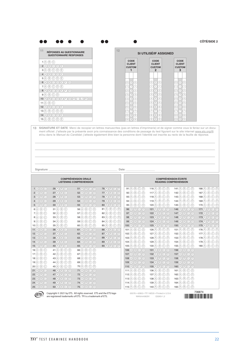| 11                                                                                                                                                                                                                                                                                                                                               | <b>RÉPONSES AU QUESTIONNAIRE</b><br><b>QUESTIONNAIRE RESPONSES</b>                                                                     |                                                              | 12                                        |                                                                  | <b>SI UTILISÉ/IF ASSIGNED</b>                                         |                                                                                        |                                                     |
|--------------------------------------------------------------------------------------------------------------------------------------------------------------------------------------------------------------------------------------------------------------------------------------------------------------------------------------------------|----------------------------------------------------------------------------------------------------------------------------------------|--------------------------------------------------------------|-------------------------------------------|------------------------------------------------------------------|-----------------------------------------------------------------------|----------------------------------------------------------------------------------------|-----------------------------------------------------|
| 1(A)(B)(C)                                                                                                                                                                                                                                                                                                                                       |                                                                                                                                        |                                                              |                                           | CODE                                                             | CODE                                                                  | CODE                                                                                   |                                                     |
|                                                                                                                                                                                                                                                                                                                                                  | 2(A)B(C)D(E)                                                                                                                           |                                                              |                                           | <b>CLIENT</b><br><b>CUSTOM</b>                                   | <b>CLIENT</b><br><b>CUSTOM</b>                                        | <b>CLIENT</b><br><b>CUSTOM</b>                                                         |                                                     |
|                                                                                                                                                                                                                                                                                                                                                  | $3\bigcirc\oplus\bigcirc\oplus\bigcirc$                                                                                                |                                                              |                                           | 1                                                                | $\mathbf{2}$                                                          | 3                                                                                      |                                                     |
|                                                                                                                                                                                                                                                                                                                                                  | $4(A)$ $(B)$ $(C)$ $(D)$ $(E)$                                                                                                         |                                                              |                                           |                                                                  |                                                                       |                                                                                        |                                                     |
|                                                                                                                                                                                                                                                                                                                                                  | 5(A)(B)(C)(D)(E)                                                                                                                       |                                                              |                                           |                                                                  |                                                                       |                                                                                        |                                                     |
|                                                                                                                                                                                                                                                                                                                                                  | $6A$ $B$ $O$ $O$ $E$ $E$ $G$                                                                                                           |                                                              |                                           | $\circledcirc\circ$                                              | $\circledcirc$                                                        | $\circledcirc$                                                                         |                                                     |
|                                                                                                                                                                                                                                                                                                                                                  | $7$ (A) $\circledcirc$ (O) $\circledcirc$<br>$8\bigcircled{A}\bigcircled{B}\bigcircled{O}\bigcircled{D}\bigcircled{B}\bigcircled{G}$   |                                                              |                                           | ന∣<br>⊙)<br>202                                                  | (T)<br>(1)<br>(1)<br>2<br>O)<br>ℭ                                     | 1<br>⊙)<br>(1)<br>$\circledcirc$<br>②                                                  |                                                     |
|                                                                                                                                                                                                                                                                                                                                                  | 9(A) (B) (C) (D)                                                                                                                       |                                                              |                                           | $\circled{3}$<br>(3)(3)                                          | (3)<br>$\circledS$<br>3)                                              | $\circledcirc$<br>(3)                                                                  |                                                     |
|                                                                                                                                                                                                                                                                                                                                                  | $10\text{ A } \text{B } \text{C } \text{D } \text{C } \text{D } \text{C } \text{A } \text{A } \text{D } \text{A } \text{A } \text{A }$ |                                                              |                                           | $\bigcirc$ $\bigcirc$<br>$\left( 4\right)$                       | ⊕<br>4<br>(4)                                                         | ④<br>$\circledcirc$<br>④                                                               |                                                     |
| 11(A) (B) (C)                                                                                                                                                                                                                                                                                                                                    |                                                                                                                                        |                                                              |                                           | $\circledS$<br>$\sqrt{5}$                                        | 6<br>$\circledS$<br>(5)                                               | ⑤<br>$\circ$                                                                           |                                                     |
|                                                                                                                                                                                                                                                                                                                                                  | $12(A)$ $(B)$ $(C)$ $(D)$ $(E)$                                                                                                        |                                                              |                                           | (6)(6)(6)                                                        | ⊛<br>$\circledcirc$                                                   | $\circledcirc$ $\circledcirc$                                                          |                                                     |
|                                                                                                                                                                                                                                                                                                                                                  | $13(\overline{A})(\overline{B})(\overline{C})(\overline{D})(\overline{E})$                                                             |                                                              |                                           | ⑦ ⑦ ⑦                                                            | 7)<br>(7)<br>(7)                                                      | のの<br>℗                                                                                |                                                     |
|                                                                                                                                                                                                                                                                                                                                                  | $14(A)$ $(B)$ $(C)$ $(D)$ $(E)$                                                                                                        |                                                              |                                           | $\circledast$<br>(8)(8)                                          | ⊛<br>$^{(8)}$<br>$^{(8)}$                                             | @@@<br>⊛                                                                               |                                                     |
|                                                                                                                                                                                                                                                                                                                                                  | $15(\overline{A})(\overline{B})(\overline{C})(\overline{D})(\overline{E})$                                                             |                                                              |                                           | (9)(9)(9)                                                        | 9)<br>9<br>0)                                                         | 9)<br>(9)(9)                                                                           |                                                     |
|                                                                                                                                                                                                                                                                                                                                                  |                                                                                                                                        |                                                              |                                           |                                                                  |                                                                       |                                                                                        |                                                     |
|                                                                                                                                                                                                                                                                                                                                                  |                                                                                                                                        |                                                              | Date:                                     |                                                                  |                                                                       |                                                                                        |                                                     |
| Signature:                                                                                                                                                                                                                                                                                                                                       |                                                                                                                                        | <b>COMPRÉHENSION ORALE</b><br><b>LISTENING COMPREHENSION</b> |                                           |                                                                  |                                                                       | <b>COMPRÉHENSION ÉCRITE</b><br><b>READING COMPREHENSION</b>                            |                                                     |
| $1$ $\odot$ $\odot$ $\odot$                                                                                                                                                                                                                                                                                                                      | $26$ (A) (B) (C)                                                                                                                       | $51(A)$ $(B)$ $(C)$ $(D)$                                    | $76$ (A) (B) (C) (D)                      | $91$ (A) (B) (C) (D)                                             | 116(A)(B)(C)(D)                                                       | 141(A) (B) (C) (D)                                                                     | $166$ (A) (B) (C) (D)                               |
| $2(A)$ $B$ $C$                                                                                                                                                                                                                                                                                                                                   | $27$ (A) $\odot$ (C)                                                                                                                   | 52 A B C D                                                   | $77$ (A) $\odot$ (O) $\odot$              | $92$ (A) (B) (O) (D)                                             | $117 \textcircled{B} \textcircled{C} \textcircled{D}$                 | $142 \text{ (A)} \text{ (B)} \text{ (C)}$                                              | 167 (A) (B) (C) (D)                                 |
| $3(A)$ $(B)$ $C$                                                                                                                                                                                                                                                                                                                                 | 28 A B C                                                                                                                               | $53(A)$ $(B)$ $(C)$ $(D)$                                    | 78 A B C D                                | $93$ $\circledR$ $\circledR$ $\circledR$                         | $118 \textcircled{A} \textcircled{B} \textcircled{C} \textcircled{D}$ | $143$ (A) (B) (C) (D)                                                                  | $168$ (A) (B) (C) (D)                               |
|                                                                                                                                                                                                                                                                                                                                                  | $29(A)$ $(B)$ $(C)$                                                                                                                    | $54(A)$ $(B)$ $(C)$ $(D)$                                    | $79(A)$ $(B)$ $(C)$ $(D)$                 | $94(A)$ $(B)$ $(D)$                                              | $119(\overline{A})(\overline{B})(\overline{C})(\overline{D})$         | $144(\overline{A})(\overline{B})(\overline{C})(\overline{D})$                          | $169$ (A) (B) (C) (D)                               |
|                                                                                                                                                                                                                                                                                                                                                  | $30(A)$ $(B)$ $(C)$<br>31(A) (B) (C)                                                                                                   | 55 (A) (B) (C) (D)<br>$56(A)$ $(B)$ $(C)$ $(D)$              | 80 A B C D                                | $95(A)$ $(B)$ $(D)$                                              | $120(A)$ $(B)$ $(C)$ $(D)$<br>$121(A)$ $(B)$ $(C)$ $(D)$              | $145(\overline{A})(\overline{B})(\overline{C})(\overline{D})$<br>$146$ (A) (B) (C) (D) | $170(A)$ $(B)$ $(C)$ $(D)$<br>$171$ (A) (B) (C) (D) |
| $4(A)$ $(B)$ $C$<br>$5(A)$ $(B)$ $(C)$<br>$6(A)$ $(B)$ $(C)$<br>$7(A)$ $(B)$ $(C)$                                                                                                                                                                                                                                                               | 32(A) (B) (C)                                                                                                                          | $57$ (A) (B) (C) (D)                                         | $81$ (A) $\circledcirc$ (O)<br>82 A B C D | $96$ (A) (B) (C) (D)<br>$97(A)$ $(B)$ $(C)$ $(D)$                | 122(A) (B) (C) (D)                                                    | $147(A)$ $(B)$ $(C)$ $(D)$                                                             | $172(A)$ $(B)$ $(C)$ $(D)$                          |
|                                                                                                                                                                                                                                                                                                                                                  | 33(A) (B) (C)                                                                                                                          | 58(A) (B) (C) (D)                                            | $83(A)$ $(B)$ $(C)$ $(D)$                 | $98(A)$ $(B)$ $(C)$ $(D)$                                        | $123(A)$ $(B)$ $(C)$ $(D)$                                            | $148$ (A) (B) (C) (D)                                                                  | $173(A)$ $(B)$ $(C)$ $(D)$                          |
|                                                                                                                                                                                                                                                                                                                                                  | $34(A)$ $(B)$ $(C)$                                                                                                                    | 59(A) (B) (C) (D)                                            | $84(A)$ $(B)$ $(C)$ $(D)$                 | $99(A)$ $(B)$ $(C)$ $(D)$                                        | $124(\overline{A})(\overline{B})(\overline{C})(\overline{D})$         | $149$ (A) (B) (C) (D)                                                                  | $174(A)$ $(B)$ $(O)$ $(D)$                          |
|                                                                                                                                                                                                                                                                                                                                                  | $35(A)$ $(B)$ $(C)$                                                                                                                    | $60$ (A) (B) (C) (D)                                         | <b>85</b> (A) (B) (C) (D)                 | $100(A)$ $(B)$ $(C)$ $(D)$                                       | $125(A)$ (B) (C) (D)                                                  | $150(A)$ (B) (C) (D)                                                                   | 175 $(A)$ $(B)$ $(C)$ $(D)$                         |
|                                                                                                                                                                                                                                                                                                                                                  | $36$ (A) (B) (C)                                                                                                                       | $61$ (A) (B) (C) (D)                                         | 86 A B C D                                | $101(\overline{A})(\overline{B})(\overline{C})(\overline{D})$    | $126$ (A) (B) (C) (D)                                                 | $151$ (A) (B) (C) (D)                                                                  | $176$ (A) (B) (C) (D)                               |
|                                                                                                                                                                                                                                                                                                                                                  | $37(A)$ $(B)$ $(C)$                                                                                                                    | $62(A)$ $(B)$ $(C)$ $(D)$                                    | $87(A)$ $(B)$ $(C)$ $(D)$                 | $102(A)$ $(B)$ $(C)$ $(D)$                                       | $127$ (A) (B) (C) (D)                                                 | 152(A) (B) (C) (D)                                                                     | $177$ (A) (B) (C) (D)                               |
|                                                                                                                                                                                                                                                                                                                                                  | $38(A)$ $(B)$ $(C)$                                                                                                                    | $63$ $\bigcirc$ $\bigcirc$ $\bigcirc$ $\bigcirc$             | 88 A B C D                                | $103$ (A) (B) (C) (D)                                            | $128$ (A) (B) (C) (D)                                                 | $153$ (A) (B) (C) (D)                                                                  | $178(A)$ $(B)$ $(C)$ $(D)$                          |
|                                                                                                                                                                                                                                                                                                                                                  | 39 A B C                                                                                                                               | $64$ (A) (B) (C) (D)                                         | 89 A B C D                                | $104$ (A) (B) (C) (D)                                            | $129(A)$ $(B)$ $(C)$ $(D)$                                            | $154(A)$ $(B)$ $(C)$ $(D)$                                                             | $179(A)$ $(B)$ $(C)$ $(D)$                          |
|                                                                                                                                                                                                                                                                                                                                                  | $40$ (A) (B) (C)                                                                                                                       | 65 A B C D                                                   | $90(A)$ $(B)$ $(C)$ $(D)$                 | $105(A)$ $(B)$ $(C)$ $(D)$                                       | $130(A)$ $(B)$ $(C)$ $(D)$                                            | $155(A)$ $(B)$ $(C)$ $(D)$                                                             | $180(A)$ $(B)$ $(C)$ $(D)$                          |
|                                                                                                                                                                                                                                                                                                                                                  | $41(\overline{A})(\overline{B})(\overline{C})(\overline{D})$                                                                           | $66$ (A) (B) (C) (D)                                         |                                           | $106$ (A) (B) (C) (D)                                            | $131$ (A) $\odot$ (C) $\odot$                                         | $156(A)$ $(B)$ $(C)$ $(D)$                                                             |                                                     |
|                                                                                                                                                                                                                                                                                                                                                  | $42(A)$ $(B)$ $(C)$ $(D)$                                                                                                              | $67(A)$ $(B)$ $(C)$ $(D)$                                    |                                           | $107(A)$ $(B)$ $(C)$ $(D)$                                       | $132(A)$ $(B)$ $(C)$ $(D)$                                            | $157(A)$ $(B)$ $(C)$ $(D)$                                                             |                                                     |
|                                                                                                                                                                                                                                                                                                                                                  | $43$ (A) (B) (C) (D)<br>$44(\overline{A})(\overline{B})(\overline{C})(\overline{D})$                                                   | $68$ (A) (B) (C) (D)<br>$69$ (A) (B) (C) (D)                 |                                           | 108 A B C D<br>$109(A)$ $(B)$ $(C)$ $(D)$                        | $133$ (A) (B) (C) (D)<br>$134$ (A) (B) (C) (D)                        | $158$ (A) (B) (C) (D)<br>159 A B C D                                                   |                                                     |
|                                                                                                                                                                                                                                                                                                                                                  | $45(A)$ $(B)$ $(C)$ $(D)$                                                                                                              | 70(A)(B)(C)(D)                                               |                                           | $110(A)$ $(B)$ $(C)$ $(D)$                                       | $135(A)$ $(B)$ $(C)$ $(D)$                                            | $160(A)$ $(B)$ $(C)$ $(D)$                                                             |                                                     |
|                                                                                                                                                                                                                                                                                                                                                  | 46 A B C D                                                                                                                             | $71$ $\odot$ $\odot$ $\odot$ $\odot$                         |                                           | $111 \text{ (A)} \text{ (B)} \text{ (C)}$                        | $136$ (A) (B) (C) (D)                                                 | $161$ (A) (B) (C) (D)                                                                  |                                                     |
|                                                                                                                                                                                                                                                                                                                                                  | $47$ (A) $\odot$ (O) $\odot$                                                                                                           | 72 A B C D                                                   |                                           | $112(\overline{A})\overline{B})\overline{C}\overline{D}$         | $137(A)$ $(B)$ $(C)$ $(D)$                                            | 162(A) (B) (C) (D)                                                                     |                                                     |
| B(A) (B) (C)<br>9(A)(B)(C)<br>10 (A) (B) (C)<br>$11$ (A) $\circledR$ (C)<br>$12(A)$ $(B)$ $(C)$<br>$13(A)$ $(B)$ $(C)$<br>$14$ (A) $\odot$ (C)<br>$15(A)$ $(B)$ $(C)$<br>$16(A)$ $(B)$ $(C)$<br>17(A)(B)(C)<br>$18(A)$ $(B)$ $(C)$<br>19(A)(B)(C)<br>20(A)(B)(C)<br>$21(A)$ $(B)$ $(C)$<br>22(A) (B) (C)<br>23(A)(B)(C)<br><b>24</b> (A) (B) (C) | $48$ (A) $\odot$ (O) $\odot$<br>$49$ (A) (B) (C) (D)                                                                                   | $73(A)$ $(B)$ $(C)$ $(D)$<br>$74$ $\odot$ $\odot$ $\odot$    |                                           | $113$ (A) (B) (C) (D)<br>$114(\overline{A})\overline{B}$ (c) (D) | $138$ (A) (B) (C) (D)<br>$139$ (A) (B) (C) (D)                        | $163$ (A) (B) (C) (D)<br>$164$ (A) (B) (C) (D)                                         |                                                     |



Copyright © 2021 by ETS. All rights reserved. ETS and the ETS logo  $0.0378 * 42853 * TF116E20 * Printed in 23263-1,2583 + 12512E20 * Printed in 23263-1,2583 - 1,2583 - 1,2583 - 1,2583 - 1,2583 - 1,2583 - 1,2583 - 1,2583 - 1,2583 - 1,2583 - 1,2583 - 1,258$ 

00378 • 42853 • TF116E20 • Printed in U.S.A.

736874<br>|**||||||||||||||||||||||||||||**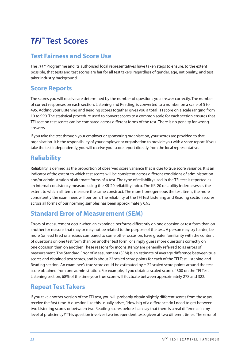# <span id="page-25-0"></span>*TFI™* **Test Scores**

### **Test Fairness and Score Use**

The *TFI™* Programme and its authorised local representatives have taken steps to ensure, to the extent possible, that tests and test scores are fair for all test takers, regardless of gender, age, nationality, and test taker industry background.

### **Score Reports**

The scores you will receive are determined by the number of questions you answer correctly. The number of correct responses on each section, Listening and Reading, is converted to a number on a scale of 5 to 495. Adding your Listening and Reading scores together gives you a total TFI score on a scale ranging from 10 to 990. The statistical procedure used to convert scores to a common scale for each section ensures that TFI section test scores can be compared across different forms of the test. There is no penalty for wrong answers.

If you take the test through your employer or sponsoring organisation, your scores are provided to that organisation. It is the responsibility of your employer or organisation to provide you with a score report. If you take the test independently, you will receive your score report directly from the local representative.

### **Reliability**

Reliability is defined as the proportion of observed score variance that is due to true score variance. It is an indicator of the extent to which test scores will be consistent across different conditions of administration and/or administration of alternate forms of a test. The type of reliability used in the TFI test is reported as an internal consistency measure using the KR-20 reliability index. The KR-20 reliability index assesses the extent to which all items measure the same construct. The more homogeneous the test items, the more consistently the examinees will perform. The reliability of the TFI Test Listening and Reading section scores across all forms of our norming samples has been approximately 0.95.

### **Standard Error of Measurement (SEM)**

Errors of measurement occur when an examinee performs differently on one occasion or test form than on another for reasons that may or may not be related to the purpose of the test. A person may try harder, be more (or less) tired or anxious compared to some other occasion, have greater familiarity with the content of questions on one test form than on another test form, or simply guess more questions correctly on one occasion than on another. These reasons for inconsistency are generally referred to as errors of measurement. The Standard Error of Measurement (SEM) is an estimate of average difference between true scores and obtained test scores, and is about 22 scaled score points for each of the TFI Test Listening and Reading section. An examinee's true score could be estimated by  $\pm$  22 scaled score points around the test score obtained from one administration. For example, if you obtain a scaled score of 300 on the TFI Test Listening section, 68% of the time your true score will fluctuate between approximately 278 and 322.

### **Repeat Test Takers**

If you take another version of the TFI test, you will probably obtain slightly different scores from those you receive the first time. A question like this usually arises, "How big of a difference do I need to get between two Listening scores or between two Reading scores before I can say that there is a real difference in my level of proficiency?" This question involves two independent tests given at two different times. The error of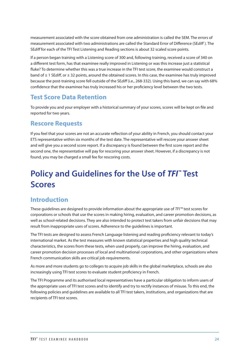<span id="page-26-0"></span>measurement associated with the score obtained from one administration is called the SEM. The errors of measurement associated with two administrations are called the Standard Error of Difference (SE*diff* ). The SE*diff* for each of the TFI Test Listening and Reading sections is about 32 scaled score points.

If a person began training with a Listening score of 300 and, following training, received a score of 340 on a different test form, has that examinee really improved in Listening or was this increase just a statistical fluke? To determine whether this was a true increase in the TFI test score, the examinee would construct a band of ± 1 SE*diff*, or ± 32 points, around the obtained scores. In this case, the examinee has truly improved because the post-training score fell outside of the SE*diff* (i.e., 268-332). Using this band, we can say with 68% confidence that the examinee has truly increased his or her proficiency level between the two tests.

### **Test Score Data Retention**

To provide you and your employer with a historical summary of your scores, scores will be kept on file and reported for two years.

### **Rescore Requests**

If you feel that your scores are not an accurate reflection of your ability in French, you should contact your ETS representative within six months of the test date. The representative will rescore your answer sheet and will give you a second score report. If a discrepancy is found between the first score report and the second one, the representative will pay for rescoring your answer sheet. However, if a discrepancy is not found, you may be charged a small fee for rescoring costs.

# **Policy and Guidelines for the Use of** *TFI™* **Test Scores**

### **Introduction**

These guidelines are designed to provide information about the appropriate use of *TFI™* test scores for corporations or schools that use the scores in making hiring, evaluation, and career promotion decisions, as well as school-related decisions. They are also intended to protect test takers from unfair decisions that may result from inappropriate uses of scores. Adherence to the guidelines is important.

The TFI tests are designed to assess French Language listening and reading proficiency relevant to today's international market. As the test measures with known statistical properties and high quality technical characteristics, the scores from these tests, when used properly, can improve the hiring, evaluation, and career promotion decision processes of local and multinational corporations, and other organizations where French communication skills are critical job requirements.

As more and more students go to colleges to acquire job skills in the global marketplace, schools are also increasingly using TFI test scores to evaluate student proficiency in French.

The TFI Programme and its authorised local representatives have a particular obligation to inform users of the appropriate uses of TFI test scores and to identify and try to rectify instances of misuse. To this end, the following policies and guidelines are available to all TFI test takers, institutions, and organizations that are recipients of TFI test scores.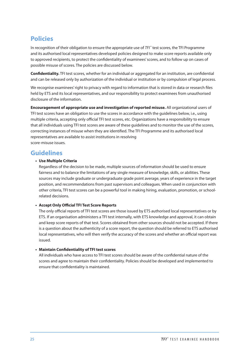### <span id="page-27-0"></span>**Policies**

In recognition of their obligation to ensure the appropriate use of *TFI*™ test scores, the TFI Programme and its authorised local representatives developed policies designed to make score reports available only to approved recipients, to protect the confidentiality of examinees' scores, and to follow up on cases of possible misuse of scores. The policies are discussed below.

**Confidentiality.** TFI test scores, whether for an individual or aggregated for an institution, are confidential and can be released only by authorization of the individual or institution or by compulsion of legal process.

We recognise examinees' right to privacy with regard to information that is stored in data or research files held by ETS and its local representatives, and our responsibility to protect examinees from unauthorised disclosure of the information.

**Encouragement of appropriate use and investigation of reported misuse.** All organizational users of TFI test scores have an obligation to use the scores in accordance with the guidelines below, i.e., using multiple criteria, accepting only official TFI test scores, etc. Organizations have a responsibility to ensure that all individuals using TFI test scores are aware of these guidelines and to monitor the use of the scores, correcting instances of misuse when they are identified. The TFI Programme and its authorised local representatives are available to assist institutions in resolving score-misuse issues.

### **Guidelines**

#### **• Use Multiple Criteria**

Regardless of the decision to be made, multiple sources of information should be used to ensure fairness and to balance the limitations of any single measure of knowledge, skills, or abilities. These sources may include graduate or undergraduate grade point average, years of experience in the target position, and recommendations from past supervisors and colleagues. When used in conjunction with other criteria, TFI test scores can be a powerful tool in making hiring, evaluation, promotion, or schoolrelated decisions.

#### **• Accept Only Official TFI Test Score Reports**

The only official reports of TFI test scores are those issued by ETS authorised local representatives or by ETS. If an organisation administers a TFI test internally, with ETS knowledge and approval, it can obtain and keep score reports of that test. Scores obtained from other sources should not be accepted. If there is a question about the authenticity of a score report, the question should be referred to ETS authorised local representatives, who will then verify the accuracy of the scores and whether an official report was issued.

#### **• Maintain Confidentiality of TFI test scores**

All individuals who have access to TFI test scores should be aware of the confidential nature of the scores and agree to maintain their confidentiality. Policies should be developed and implemented to ensure that confidentiality is maintained.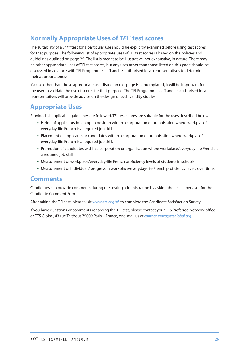### <span id="page-28-0"></span>**Normally Appropriate Uses of** *TFI™* **test scores**

The suitability of a *TFI™* test for a particular use should be explicitly examined before using test scores for that purpose. The following list of appropriate uses of TFI test scores is based on the policies and guidelines outlined on page 25. The list is meant to be illustrative, not exhaustive, in nature. There may be other appropriate uses of TFI test scores, but any uses other than those listed on this page should be discussed in advance with TFI Programme staff and its authorised local representatives to determine their appropriateness.

If a use other than those appropriate uses listed on this page is contemplated, it will be important for the user to validate the use of scores for that purpose. The TFI Programme staff and its authorised local representatives will provide advice on the design of such validity studies.

### **Appropriate Uses**

Provided all applicable guidelines are followed, TFI test scores are suitable for the uses described below.

- Hiring of applicants for an open position within a corporation or organisation where workplace/ everyday-life French is a required job skill.
- Placement of applicants or candidates within a corporation or organisation where workplace/ everyday-life French is a required job skill.
- Promotion of candidates within a corporation or organisation where workplace/everyday-life French is a required job skill.
- Measurement of workplace/everyday-life French proficiency levels of students in schools.
- Measurement of individuals' progress in workplace/everyday-life French proficiency levels over time.

### **Comments**

Candidates can provide comments during the testing administration by asking the test supervisor for the Candidate Comment Form.

After taking the TFI test, please visit *[www.ets.org/tfi](http://www.ets.org/tfi)* to complete the Candidate Satisfaction Survey.

If you have questions or comments regarding the TFI test, please contact your ETS Preferred Network office or ETS Global, 43 rue Taitbout 75009 Paris – France, or e-mail us at *contact-emea@etsglobal.org.*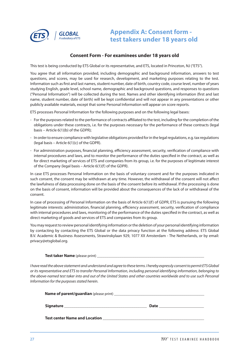<span id="page-29-0"></span>

### **Appendix A: Consent form test takers under 18 years old**

#### **Consent Form - For examinees under 18 years old**

This test is being conducted by ETS Global or its representative, and ETS, located in Princeton, NJ ("ETS").

You agree that all information provided, including demographic and background information, answers to test questions, and scores, may be used for research, development, and marketing purposes relating to the test. Information such as first and last names, student number, date of birth, country code, course level, number of years studying English, grade level, school name, demographic and background questions, and responses to questions ("Personal Information") will be collected during the test. Names and other identifying information (first and last name, student number, date of birth) will be kept confidential and will not appear in any presentations or other publicly available materials, except that some Personal Information will appear on score reports.

ETS processes Personal Information for the following purposes and on the following legal bases:

- For the purposes related to the performance of contracts affiliated to the test, including for the completion of the obligations under these contracts, i.e. for the purposes necessary for the performance of these contracts (legal basis – Article 6(1)(b) of the GDPR);
- In order to ensure compliance with legislative obligations provided for in the legal regulations, e.g. tax regulations (legal basis – Article  $6(1)(c)$  of the GDPR).
- For administration purposes, financial planning, efficiency assessment, security, verification of compliance with internal procedures and laws, and to monitor the performance of the duties specified in the contract, as well as for direct marketing of services of ETS and companies from its group, i.e. for the purposes of legitimate interest of the Company (legal basis – Article 6(1)(f) of the GDPR).

In case ETS processes Personal Information on the basis of voluntary consent and for the purposes indicated in such consent, the consent may be withdrawn at any time. However, the withdrawal of the consent will not affect the lawfulness of data processing done on the basis of the consent before its withdrawal. If the processing is done on the basis of consent, information will be provided about the consequences of the lack of or withdrawal of the consent.

In case of processing of Personal Information on the basis of Article 6(1)(f) of GDPR, ETS is pursuing the following legitimate interests: administration, financial planning, efficiency assessment, security, verification of compliance with internal procedures and laws, monitoring of the performance of the duties specified in the contract, as well as direct marketing of goods and services of ETS and companies from its group.

You may request to review personal identifying information or the deletion of your personal identifying information by contacting by contacting the ETS Global or the data privacy function at the following address: ETS Global B.V. Academic & Business Assessments, Strawinskylaan 929, 1077 XX Amsterdam - The Netherlands, or by email: privacy@etsglobal.org.

**Test taker Name** (please print)

*I have read the above statement and understand and agree to these terms. I hereby expressly consent to permit ETS Global or its representative and ETS to transfer Personal Information, including personal identifying information, belonging to the above-named test taker into and out of the United States and other countries worldwide and to use such Personal Information for the purposes stated herein.* 

| <b>Signature</b>                     | <b>Date</b> |
|--------------------------------------|-------------|
| <b>Test center Name and Location</b> |             |